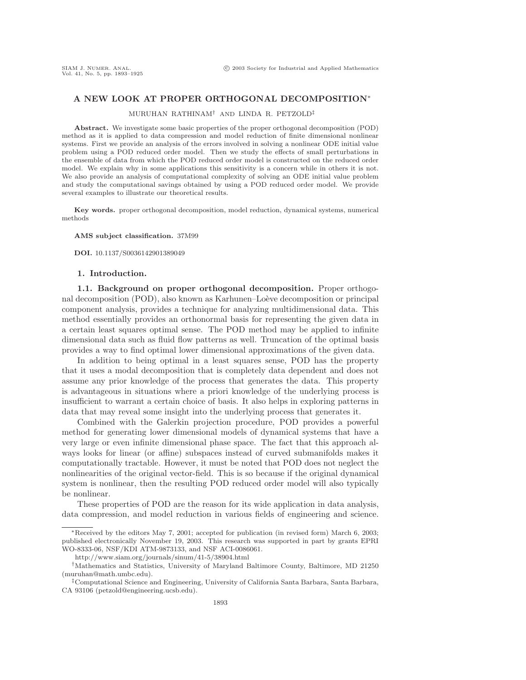# **A NEW LOOK AT PROPER ORTHOGONAL DECOMPOSITION**<sup>∗</sup>

## MURUHAN RATHINAM† AND LINDA R. PETZOLD‡

**Abstract.** We investigate some basic properties of the proper orthogonal decomposition (POD) method as it is applied to data compression and model reduction of finite dimensional nonlinear systems. First we provide an analysis of the errors involved in solving a nonlinear ODE initial value problem using a POD reduced order model. Then we study the effects of small perturbations in the ensemble of data from which the POD reduced order model is constructed on the reduced order model. We explain why in some applications this sensitivity is a concern while in others it is not. We also provide an analysis of computational complexity of solving an ODE initial value problem and study the computational savings obtained by using a POD reduced order model. We provide several examples to illustrate our theoretical results.

**Key words.** proper orthogonal decomposition, model reduction, dynamical systems, numerical methods

#### **AMS subject classification.** 37M99

**DOI.** 10.1137/S0036142901389049

#### **1. Introduction.**

**1.1. Background on proper orthogonal decomposition.** Proper orthogonal decomposition (POD), also known as Karhunen–Loève decomposition or principal component analysis, provides a technique for analyzing multidimensional data. This method essentially provides an orthonormal basis for representing the given data in a certain least squares optimal sense. The POD method may be applied to infinite dimensional data such as fluid flow patterns as well. Truncation of the optimal basis provides a way to find optimal lower dimensional approximations of the given data.

In addition to being optimal in a least squares sense, POD has the property that it uses a modal decomposition that is completely data dependent and does not assume any prior knowledge of the process that generates the data. This property is advantageous in situations where a priori knowledge of the underlying process is insufficient to warrant a certain choice of basis. It also helps in exploring patterns in data that may reveal some insight into the underlying process that generates it.

Combined with the Galerkin projection procedure, POD provides a powerful method for generating lower dimensional models of dynamical systems that have a very large or even infinite dimensional phase space. The fact that this approach always looks for linear (or affine) subspaces instead of curved submanifolds makes it computationally tractable. However, it must be noted that POD does not neglect the nonlinearities of the original vector-field. This is so because if the original dynamical system is nonlinear, then the resulting POD reduced order model will also typically be nonlinear.

These properties of POD are the reason for its wide application in data analysis, data compression, and model reduction in various fields of engineering and science.

<sup>∗</sup>Received by the editors May 7, 2001; accepted for publication (in revised form) March 6, 2003; published electronically November 19, 2003. This research was supported in part by grants EPRI WO-8333-06, NSF/KDI ATM-9873133, and NSF ACI-0086061.

http://www.siam.org/journals/sinum/41-5/38904.html

<sup>†</sup>Mathematics and Statistics, University of Maryland Baltimore County, Baltimore, MD 21250 (muruhan@math.umbc.edu).

<sup>‡</sup>Computational Science and Engineering, University of California Santa Barbara, Santa Barbara, CA 93106 (petzold@engineering.ucsb.edu).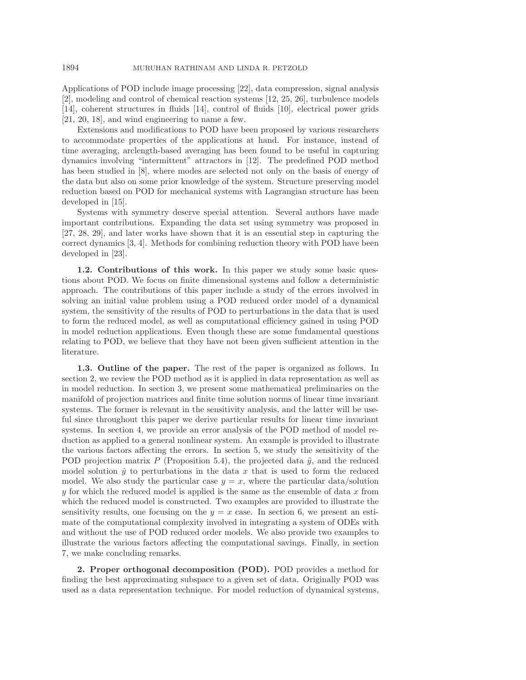Applications of POD include image processing [22], data compression, signal analysis [2], modeling and control of chemical reaction systems [12, 25, 26], turbulence models [14], coherent structures in fluids [14], control of fluids [10], electrical power grids [21, 20, 18], and wind engineering to name a few.

Extensions and modifications to POD have been proposed by various researchers to accommodate properties of the applications at hand. For instance, instead of time averaging, arclength-based averaging has been found to be useful in capturing dynamics involving "intermittent" attractors in [12]. The predefined POD method has been studied in [8], where modes are selected not only on the basis of energy of the data but also on some prior knowledge of the system. Structure preserving model reduction based on POD for mechanical systems with Lagrangian structure has been developed in [15].

Systems with symmetry deserve special attention. Several authors have made important contributions. Expanding the data set using symmetry was proposed in [27, 28, 29], and later works have shown that it is an essential step in capturing the correct dynamics [3, 4]. Methods for combining reduction theory with POD have been developed in [23].

**1.2. Contributions of this work.** In this paper we study some basic questions about POD. We focus on finite dimensional systems and follow a deterministic approach. The contributions of this paper include a study of the errors involved in solving an initial value problem using a POD reduced order model of a dynamical system, the sensitivity of the results of POD to perturbations in the data that is used to form the reduced model, as well as computational efficiency gained in using POD in model reduction applications. Even though these are some fundamental questions relating to POD, we believe that they have not been given sufficient attention in the literature.

**1.3. Outline of the paper.** The rest of the paper is organized as follows. In section 2, we review the POD method as it is applied in data representation as well as in model reduction. In section 3, we present some mathematical preliminaries on the manifold of projection matrices and finite time solution norms of linear time invariant systems. The former is relevant in the sensitivity analysis, and the latter will be useful since throughout this paper we derive particular results for linear time invariant systems. In section 4, we provide an error analysis of the POD method of model reduction as applied to a general nonlinear system. An example is provided to illustrate the various factors affecting the errors. In section 5, we study the sensitivity of the POD projection matrix P (Proposition 5.4), the projected data  $\tilde{y}$ , and the reduced model solution  $\hat{y}$  to perturbations in the data x that is used to form the reduced model. We also study the particular case  $y = x$ , where the particular data/solution y for which the reduced model is applied is the same as the ensemble of data  $x$  from which the reduced model is constructed. Two examples are provided to illustrate the sensitivity results, one focusing on the  $y = x$  case. In section 6, we present an estimate of the computational complexity involved in integrating a system of ODEs with and without the use of POD reduced order models. We also provide two examples to illustrate the various factors affecting the computational savings. Finally, in section 7, we make concluding remarks.

**2. Proper orthogonal decomposition (POD).** POD provides a method for finding the best approximating subspace to a given set of data. Originally POD was used as a data representation technique. For model reduction of dynamical systems,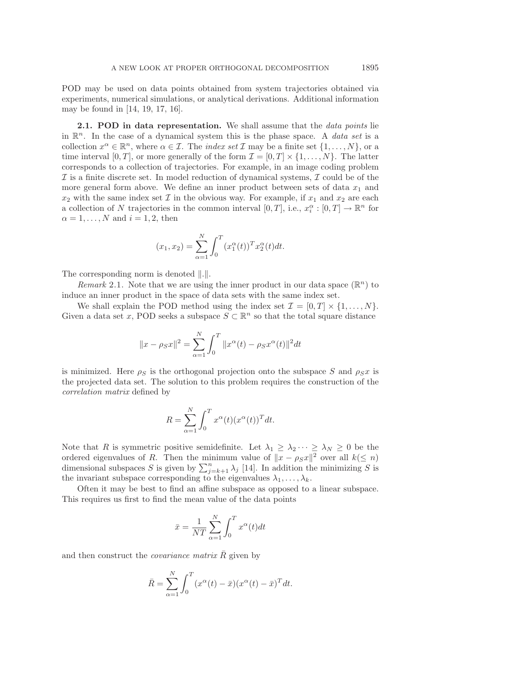POD may be used on data points obtained from system trajectories obtained via experiments, numerical simulations, or analytical derivations. Additional information may be found in [14, 19, 17, 16].

**2.1. POD in data representation.** We shall assume that the *data points* lie in  $\mathbb{R}^n$ . In the case of a dynamical system this is the phase space. A *data set* is a collection  $x^{\alpha} \in \mathbb{R}^n$ , where  $\alpha \in \mathcal{I}$ . The *index set*  $\mathcal{I}$  may be a finite set  $\{1, \ldots, N\}$ , or a time interval [0, T], or more generally of the form  $\mathcal{I} = [0, T] \times \{1, \ldots, N\}$ . The latter corresponds to a collection of trajectories. For example, in an image coding problem  $\mathcal I$  is a finite discrete set. In model reduction of dynamical systems,  $\mathcal I$  could be of the more general form above. We define an inner product between sets of data  $x_1$  and  $x_2$  with the same index set  $\mathcal I$  in the obvious way. For example, if  $x_1$  and  $x_2$  are each a collection of N trajectories in the common interval  $[0,T]$ , i.e.,  $x_i^{\alpha} : [0,T] \to \mathbb{R}^n$  for  $\alpha = 1, \ldots, N$  and  $i = 1, 2$ , then

$$
(x_1, x_2) = \sum_{\alpha=1}^{N} \int_0^T (x_1^{\alpha}(t))^T x_2^{\alpha}(t) dt.
$$

The corresponding norm is denoted  $\|.\|$ .

*Remark* 2.1. Note that we are using the inner product in our data space  $(\mathbb{R}^n)$  to induce an inner product in the space of data sets with the same index set.

We shall explain the POD method using the index set  $\mathcal{I} = [0, T] \times \{1, ..., N\}.$ Given a data set x, POD seeks a subspace  $S \subset \mathbb{R}^n$  so that the total square distance

$$
||x - \rho_S x||^2 = \sum_{\alpha=1}^N \int_0^T ||x^{\alpha}(t) - \rho_S x^{\alpha}(t)||^2 dt
$$

is minimized. Here  $\rho_S$  is the orthogonal projection onto the subspace S and  $\rho_S x$  is the projected data set. The solution to this problem requires the construction of the correlation matrix defined by

$$
R = \sum_{\alpha=1}^{N} \int_0^T x^{\alpha}(t) (x^{\alpha}(t))^T dt.
$$

Note that R is symmetric positive semidefinite. Let  $\lambda_1 \geq \lambda_2 \cdots \geq \lambda_N \geq 0$  be the ordered eigenvalues of R. Then the minimum value of  $||x - \rho_S x||^2$  over all  $k(\leq n)$ dimensional subspaces S is given by  $\sum_{j=k+1}^{n} \lambda_j$  [14]. In addition the minimizing S is the invariant subspace corresponding to the eigenvalues  $\lambda_1, \ldots, \lambda_k$ .

Often it may be best to find an affine subspace as opposed to a linear subspace. This requires us first to find the mean value of the data points

$$
\bar{x} = \frac{1}{NT} \sum_{\alpha=1}^{N} \int_{0}^{T} x^{\alpha}(t) dt
$$

and then construct the *covariance matrix*  $\overline{R}$  given by

$$
\bar{R} = \sum_{\alpha=1}^{N} \int_0^T (x^{\alpha}(t) - \bar{x})(x^{\alpha}(t) - \bar{x})^T dt.
$$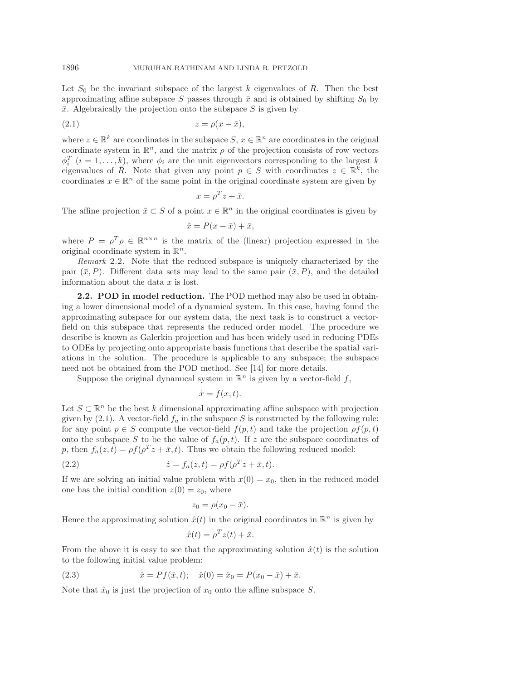Let  $S_0$  be the invariant subspace of the largest k eigenvalues of  $\overline{R}$ . Then the best approximating affine subspace S passes through  $\bar{x}$  and is obtained by shifting  $S_0$  by  $\bar{x}$ . Algebraically the projection onto the subspace S is given by

$$
(2.1) \t\t\t z = \rho(x - \bar{x}),
$$

where  $z \in \mathbb{R}^k$  are coordinates in the subspace  $S, x \in \mathbb{R}^n$  are coordinates in the original coordinate system in  $\mathbb{R}^n$ , and the matrix  $\rho$  of the projection consists of row vectors  $\phi_i^T$   $(i = 1, \ldots, k)$ , where  $\phi_i$  are the unit eigenvectors corresponding to the largest k eigenvalues of  $\overline{R}$ . Note that given any point  $p \in S$  with coordinates  $z \in \mathbb{R}^k$ , the coordinates  $x \in \mathbb{R}^n$  of the same point in the original coordinate system are given by

$$
x = \rho^T z + \bar{x}.
$$

The affine projection  $\tilde{x} \subset S$  of a point  $x \in \mathbb{R}^n$  in the original coordinates is given by

$$
\tilde{x} = P(x - \bar{x}) + \bar{x},
$$

where  $P = \rho^T \rho \in \mathbb{R}^{n \times n}$  is the matrix of the (linear) projection expressed in the original coordinate system in  $\mathbb{R}^n$ .

Remark 2.2. Note that the reduced subspace is uniquely characterized by the pair  $(\bar{x}, P)$ . Different data sets may lead to the same pair  $(\bar{x}, P)$ , and the detailed information about the data x is lost.

**2.2. POD in model reduction.** The POD method may also be used in obtaining a lower dimensional model of a dynamical system. In this case, having found the approximating subspace for our system data, the next task is to construct a vectorfield on this subspace that represents the reduced order model. The procedure we describe is known as Galerkin projection and has been widely used in reducing PDEs to ODEs by projecting onto appropriate basis functions that describe the spatial variations in the solution. The procedure is applicable to any subspace; the subspace need not be obtained from the POD method. See [14] for more details.

Suppose the original dynamical system in  $\mathbb{R}^n$  is given by a vector-field f,

$$
\dot{x} = f(x, t).
$$

Let  $S \subset \mathbb{R}^n$  be the best k dimensional approximating affine subspace with projection given by (2.1). A vector-field  $f_a$  in the subspace S is constructed by the following rule: for any point  $p \in S$  compute the vector-field  $f(p, t)$  and take the projection  $\rho f(p, t)$ onto the subspace S to be the value of  $f_a(p, t)$ . If z are the subspace coordinates of p, then  $f_a(z, t) = \rho f(\rho^T z + \bar{x}, t)$ . Thus we obtain the following reduced model:

(2.2) 
$$
\dot{z} = f_a(z, t) = \rho f(\rho^T z + \bar{x}, t).
$$

If we are solving an initial value problem with  $x(0) = x_0$ , then in the reduced model one has the initial condition  $z(0) = z_0$ , where

$$
z_0 = \rho(x_0 - \bar{x}).
$$

Hence the approximating solution  $\hat{x}(t)$  in the original coordinates in  $\mathbb{R}^n$  is given by

$$
\hat{x}(t) = \rho^T z(t) + \bar{x}.
$$

From the above it is easy to see that the approximating solution  $\hat{x}(t)$  is the solution to the following initial value problem:

(2.3) 
$$
\dot{\hat{x}} = Pf(\hat{x}, t); \quad \hat{x}(0) = \hat{x}_0 = P(x_0 - \bar{x}) + \bar{x}.
$$

Note that  $\hat{x}_0$  is just the projection of  $x_0$  onto the affine subspace S.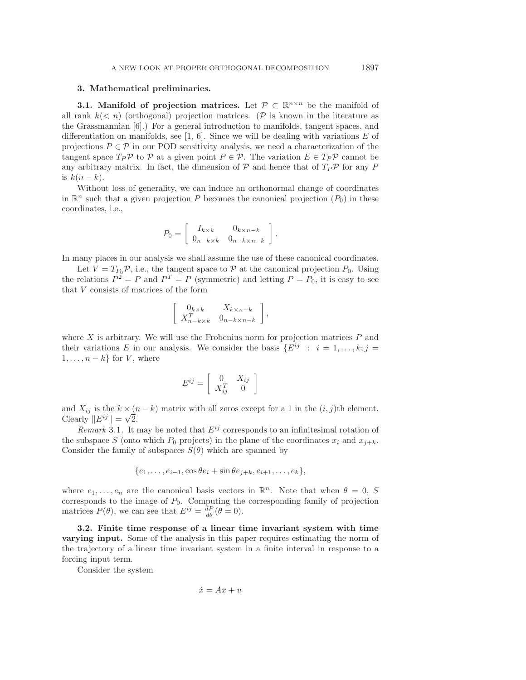### **3. Mathematical preliminaries.**

**3.1. Manifold of projection matrices.** Let  $\mathcal{P} \subset \mathbb{R}^{n \times n}$  be the manifold of all rank  $k(< n)$  (orthogonal) projection matrices. ( $P$  is known in the literature as the Grassmannian [6].) For a general introduction to manifolds, tangent spaces, and differentiation on manifolds, see [1, 6]. Since we will be dealing with variations  $E$  of projections  $P \in \mathcal{P}$  in our POD sensitivity analysis, we need a characterization of the tangent space  $T_P \mathcal{P}$  to  $\mathcal{P}$  at a given point  $P \in \mathcal{P}$ . The variation  $E \in T_P \mathcal{P}$  cannot be any arbitrary matrix. In fact, the dimension of  $\mathcal P$  and hence that of  $T_P\mathcal P$  for any P is  $k(n-k)$ .

Without loss of generality, we can induce an orthonormal change of coordinates in  $\mathbb{R}^n$  such that a given projection P becomes the canonical projection  $(P_0)$  in these coordinates, i.e.,

$$
P_0 = \left[ \begin{array}{cc} I_{k\times k} & 0_{k\times n-k} \\ 0_{n-k\times k} & 0_{n-k\times n-k} \end{array} \right].
$$

In many places in our analysis we shall assume the use of these canonical coordinates.

Let  $V = T_{P_0} \mathcal{P}$ , i.e., the tangent space to  $\mathcal P$  at the canonical projection  $P_0$ . Using the relations  $P^2 = P$  and  $P^T = P$  (symmetric) and letting  $P = P_0$ , it is easy to see that V consists of matrices of the form

$$
\left[\begin{array}{cc}0_{k\times k} & X_{k\times n-k} \\X_{n-k\times k}^T & 0_{n-k\times n-k}\end{array}\right]
$$

,

where  $X$  is arbitrary. We will use the Frobenius norm for projection matrices  $P$  and their variations E in our analysis. We consider the basis  $\{E^{ij}: i = 1,\ldots,k; j = 1,\ldots,k\}$  $1,\ldots,n-k$  for V, where

$$
E^{ij} = \left[ \begin{array}{cc} 0 & X_{ij} \\ X_{ij}^T & 0 \end{array} \right]
$$

and  $X_{ij}$  is the  $k \times (n-k)$  matrix with all zeros except for a 1 in the  $(i, j)$ th element. Clearly  $||E^{ij}|| = \sqrt{2}$ .

Remark 3.1. It may be noted that  $E^{ij}$  corresponds to an infinitesimal rotation of the subspace S (onto which  $P_0$  projects) in the plane of the coordinates  $x_i$  and  $x_{i+k}$ . Consider the family of subspaces  $S(\theta)$  which are spanned by

$$
\{e_1,\ldots,e_{i-1},\cos\theta e_i+\sin\theta e_{j+k},e_{i+1},\ldots,e_k\},\,
$$

where  $e_1, \ldots, e_n$  are the canonical basis vectors in  $\mathbb{R}^n$ . Note that when  $\theta = 0$ , S corresponds to the image of  $P_0$ . Computing the corresponding family of projection matrices  $P(\theta)$ , we can see that  $E^{ij} = \frac{dP}{d\theta}(\theta = 0)$ .

**3.2. Finite time response of a linear time invariant system with time varying input.** Some of the analysis in this paper requires estimating the norm of the trajectory of a linear time invariant system in a finite interval in response to a forcing input term.

Consider the system

$$
\dot{x} = Ax + u
$$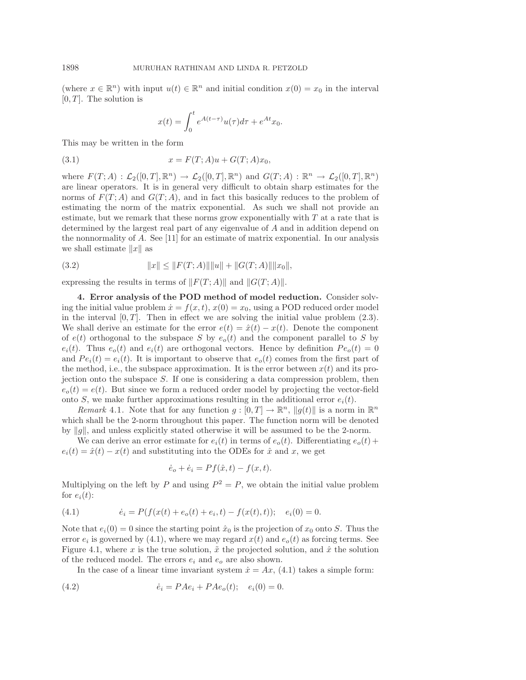(where  $x \in \mathbb{R}^n$ ) with input  $u(t) \in \mathbb{R}^n$  and initial condition  $x(0) = x_0$  in the interval  $[0, T]$ . The solution is

$$
x(t) = \int_0^t e^{A(t-\tau)} u(\tau) d\tau + e^{At} x_0.
$$

This may be written in the form

(3.1) 
$$
x = F(T; A)u + G(T; A)x_0,
$$

where  $F(T; A) : \mathcal{L}_2([0,T], \mathbb{R}^n) \to \mathcal{L}_2([0,T], \mathbb{R}^n)$  and  $G(T; A) : \mathbb{R}^n \to \mathcal{L}_2([0,T], \mathbb{R}^n)$ are linear operators. It is in general very difficult to obtain sharp estimates for the norms of  $F(T; A)$  and  $G(T; A)$ , and in fact this basically reduces to the problem of estimating the norm of the matrix exponential. As such we shall not provide an estimate, but we remark that these norms grow exponentially with  $T$  at a rate that is determined by the largest real part of any eigenvalue of A and in addition depend on the nonnormality of A. See [11] for an estimate of matrix exponential. In our analysis we shall estimate  $||x||$  as

(3.2) 
$$
||x|| \le ||F(T; A)|| ||u|| + ||G(T; A)|| ||x_0||,
$$

expressing the results in terms of  $||F(T; A)||$  and  $||G(T; A)||$ .

**4. Error analysis of the POD method of model reduction.** Consider solving the initial value problem  $\dot{x} = f(x, t), x(0) = x_0$ , using a POD reduced order model in the interval  $[0, T]$ . Then in effect we are solving the initial value problem  $(2.3)$ . We shall derive an estimate for the error  $e(t)=\hat{x}(t) - x(t)$ . Denote the component of  $e(t)$  orthogonal to the subspace S by  $e_o(t)$  and the component parallel to S by  $e_i(t)$ . Thus  $e_o(t)$  and  $e_i(t)$  are orthogonal vectors. Hence by definition  $Pe_o(t)=0$ and  $Pe_i(t) = e_i(t)$ . It is important to observe that  $e_o(t)$  comes from the first part of the method, i.e., the subspace approximation. It is the error between  $x(t)$  and its projection onto the subspace S. If one is considering a data compression problem, then  $e_o(t) = e(t)$ . But since we form a reduced order model by projecting the vector-field onto S, we make further approximations resulting in the additional error  $e_i(t)$ .

Remark 4.1. Note that for any function  $g : [0, T] \to \mathbb{R}^n$ ,  $||g(t)||$  is a norm in  $\mathbb{R}^n$ which shall be the 2-norm throughout this paper. The function norm will be denoted by  $||g||$ , and unless explicitly stated otherwise it will be assumed to be the 2-norm.

We can derive an error estimate for  $e_i(t)$  in terms of  $e_o(t)$ . Differentiating  $e_o(t)$  +  $e_i(t) = \hat{x}(t) - x(t)$  and substituting into the ODEs for  $\hat{x}$  and x, we get

$$
\dot{e}_o + \dot{e}_i = Pf(\hat{x}, t) - f(x, t).
$$

Multiplying on the left by P and using  $P^2 = P$ , we obtain the initial value problem for  $e_i(t)$ :

(4.1) 
$$
\dot{e}_i = P(f(x(t) + e_o(t) + e_i, t) - f(x(t), t)); \quad e_i(0) = 0.
$$

Note that  $e_i(0) = 0$  since the starting point  $\hat{x}_0$  is the projection of  $x_0$  onto S. Thus the error  $e_i$  is governed by (4.1), where we may regard  $x(t)$  and  $e_o(t)$  as forcing terms. See Figure 4.1, where x is the true solution,  $\tilde{x}$  the projected solution, and  $\hat{x}$  the solution of the reduced model. The errors  $e_i$  and  $e_o$  are also shown.

In the case of a linear time invariant system  $\dot{x} = Ax$ , (4.1) takes a simple form:

(4.2) 
$$
\dot{e}_i = P A e_i + P A e_o(t); \quad e_i(0) = 0.
$$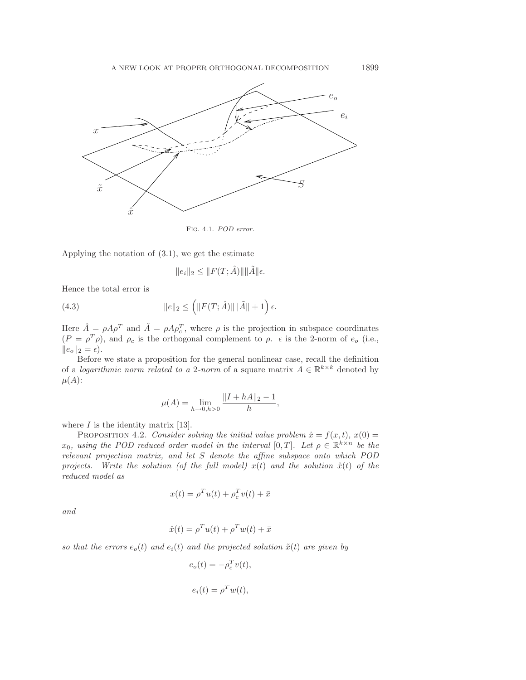

Fig. 4.1. POD error.

Applying the notation of (3.1), we get the estimate

$$
||e_i||_2 \le ||F(T; \hat{A})|| ||\tilde{A}||\epsilon.
$$

Hence the total error is

(4.3) 
$$
\|e\|_2 \le \left(\|F(T;\hat{A})\| \|\tilde{A}\| + 1\right)\epsilon.
$$

Here  $\hat{A} = \rho A \rho^T$  and  $\tilde{A} = \rho A \rho^T$ , where  $\rho$  is the projection in subspace coordinates  $(P = \rho^T \rho)$ , and  $\rho_c$  is the orthogonal complement to  $\rho$ .  $\epsilon$  is the 2-norm of  $e_o$  (i.e.,  $||e_o||_2 = \epsilon$ .

Before we state a proposition for the general nonlinear case, recall the definition of a *logarithmic norm related to a 2-norm* of a square matrix  $A \in \mathbb{R}^{k \times k}$  denoted by  $\mu(A)$ :

$$
\mu(A) = \lim_{h \to 0, h > 0} \frac{\|I + hA\|_2 - 1}{h},
$$

where  $I$  is the identity matrix [13].

PROPOSITION 4.2. Consider solving the initial value problem  $\dot{x} = f(x, t)$ ,  $x(0) =$  $x_0$ , using the POD reduced order model in the interval [0, T]. Let  $\rho \in \mathbb{R}^{k \times n}$  be the relevant projection matrix, and let S denote the affine subspace onto which POD projects. Write the solution (of the full model)  $x(t)$  and the solution  $\hat{x}(t)$  of the reduced model as

$$
x(t) = \rho^T u(t) + \rho_c^T v(t) + \bar{x}
$$

and

$$
\hat{x}(t) = \rho^T u(t) + \rho^T w(t) + \bar{x}
$$

so that the errors  $e_o(t)$  and  $e_i(t)$  and the projected solution  $\tilde{x}(t)$  are given by

$$
e_o(t) = -\rho_c^T v(t),
$$
  

$$
e_i(t) = \rho^T w(t),
$$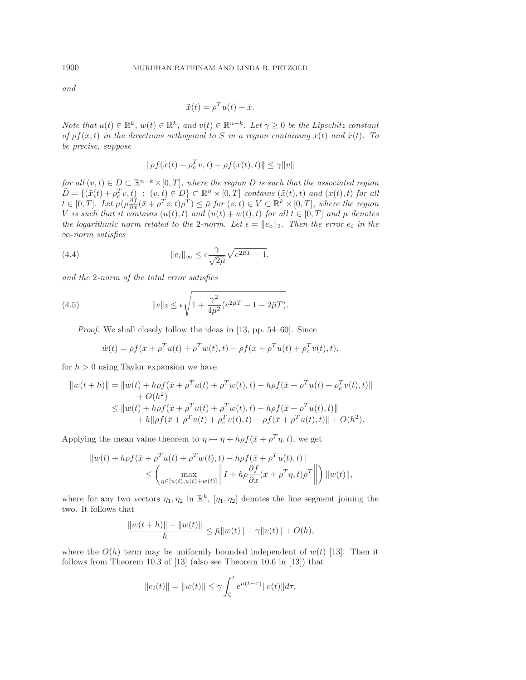and

$$
\tilde{x}(t) = \rho^T u(t) + \bar{x}.
$$

Note that  $u(t) \in \mathbb{R}^k$ ,  $w(t) \in \mathbb{R}^k$ , and  $v(t) \in \mathbb{R}^{n-k}$ . Let  $\gamma \geq 0$  be the Lipschitz constant of  $\rho f(x, t)$  in the directions orthogonal to S in a region containing  $x(t)$  and  $\tilde{x}(t)$ . To be precise, suppose

$$
\|\rho f(\tilde{x}(t) + \rho_c^T v, t) - \rho f(\tilde{x}(t), t)\| \le \gamma \|v\|
$$

for all  $(v, t) \in D \subset \mathbb{R}^{n-k} \times [0, T]$ , where the region D is such that the associated region  $\tilde{D} = \{(\tilde{x}(t) + \rho_c^T v, t): (v, t) \in D\} \subset \mathbb{R}^n \times [0, T]$  contains  $(\tilde{x}(t), t)$  and  $(x(t), t)$  for all  $t \in [0,T]$ . Let  $\mu(\rho \frac{\partial f}{\partial x}(\bar{x} + \rho^T z, t)\rho^T) \leq \bar{\mu}$  for  $(z,t) \in V \subset \mathbb{R}^k \times [0,T]$ , where the region V is such that it contains  $(u(t), t)$  and  $(u(t) + w(t), t)$  for all  $t \in [0, T]$  and  $\mu$  denotes the logarithmic norm related to the 2-norm. Let  $\epsilon = ||e_0||_2$ . Then the error  $e_i$  in the ∞-norm satisfies

(4.4) 
$$
||e_i||_{\infty} \leq \epsilon \frac{\gamma}{\sqrt{2\bar{\mu}}} \sqrt{e^{2\bar{\mu}T} - 1},
$$

and the 2-norm of the total error satisfies

(4.5) 
$$
\|e\|_2 \le \epsilon \sqrt{1 + \frac{\gamma^2}{4\bar{\mu}^2} (e^{2\bar{\mu}T} - 1 - 2\bar{\mu}T)}.
$$

Proof. We shall closely follow the ideas in [13, pp. 54–60]. Since

$$
\dot{w}(t) = \rho f(\bar{x} + \rho^T u(t) + \rho^T w(t), t) - \rho f(\bar{x} + \rho^T u(t) + \rho_c^T v(t), t),
$$

for  $h > 0$  using Taylor expansion we have

$$
||w(t+h)|| = ||w(t) + h\rho f(\bar{x} + \rho^T u(t) + \rho^T w(t), t) - h\rho f(\bar{x} + \rho^T u(t) + \rho_c^T v(t), t)||
$$
  
+ O(h<sup>2</sup>)  

$$
\leq ||w(t) + h\rho f(\bar{x} + \rho^T u(t) + \rho^T w(t), t) - h\rho f(\bar{x} + \rho^T u(t), t)||
$$
  
+ h||\rho f(\bar{x} + \rho^T u(t) + \rho\_c^T v(t), t) - \rho f(\bar{x} + \rho^T u(t), t)|| + O(h<sup>2</sup>).

Applying the mean value theorem to  $\eta \mapsto \eta + h \rho f(\bar{x} + \rho^T \eta, t)$ , we get

$$
||w(t) + h\rho f(\bar{x} + \rho^T u(t) + \rho^T w(t), t) - h\rho f(\bar{x} + \rho^T u(t), t)||
$$
  
\n
$$
\leq \left(\max_{\eta \in [u(t), u(t) + w(t)]} \left\| I + h\rho \frac{\partial f}{\partial x}(\bar{x} + \rho^T \eta, t)\rho^T \right\| \right) ||w(t)||,
$$

where for any two vectors  $\eta_1, \eta_2$  in  $\mathbb{R}^k$ ,  $[\eta_1, \eta_2]$  denotes the line segment joining the two. It follows that

$$
\frac{\|w(t+h)\| - \|w(t)\|}{h} \leq \bar{\mu} \|w(t)\| + \gamma \|v(t)\| + O(h),
$$

where the  $O(h)$  term may be uniformly bounded independent of  $w(t)$  [13]. Then it follows from Theorem 10.3 of [13] (also see Theorem 10.6 in [13]) that

$$
||e_i(t)|| = ||w(t)|| \le \gamma \int_0^t e^{\bar{\mu}(t-\tau)} ||v(t)|| d\tau,
$$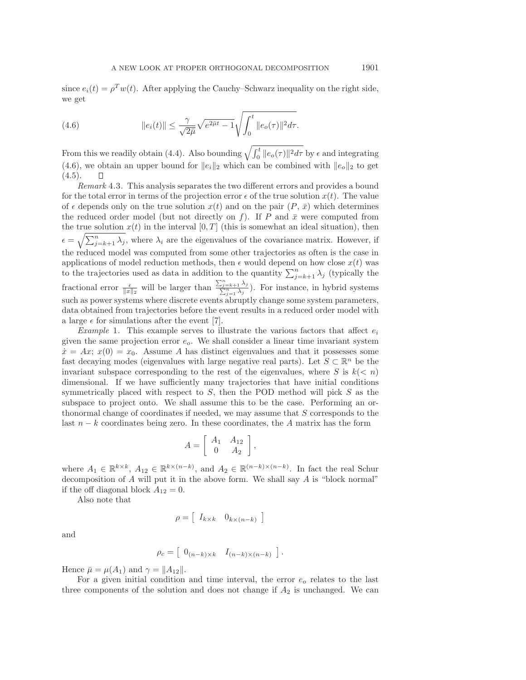since  $e_i(t) = \rho^T w(t)$ . After applying the Cauchy–Schwarz inequality on the right side, we get

(4.6) 
$$
||e_i(t)|| \leq \frac{\gamma}{\sqrt{2\bar{\mu}}} \sqrt{e^{2\bar{\mu}t} - 1} \sqrt{\int_0^t ||e_o(\tau)||^2 d\tau}.
$$

From this we readily obtain (4.4). Also bounding  $\sqrt{\int_0^t ||e_o(\tau)||^2 d\tau}$  by  $\epsilon$  and integrating (4.6), we obtain an upper bound for  $||e_i||_2$  which can be combined with  $||e_o||_2$  to get  $(4.5).$ 

Remark 4.3. This analysis separates the two different errors and provides a bound for the total error in terms of the projection error  $\epsilon$  of the true solution  $x(t)$ . The value of  $\epsilon$  depends only on the true solution  $x(t)$  and on the pair  $(P, \bar{x})$  which determines the reduced order model (but not directly on f). If P and  $\bar{x}$  were computed from the true solution  $x(t)$  in the interval  $[0, T]$  (this is somewhat an ideal situation), then  $\epsilon = \sqrt{\sum_{j=k+1}^{n} \lambda_j}$ , where  $\lambda_i$  are the eigenvalues of the covariance matrix. However, if the reduced model was computed from some other trajectories as often is the case in applications of model reduction methods, then  $\epsilon$  would depend on how close  $x(t)$  was to the trajectories used as data in addition to the quantity  $\sum_{j=k+1}^{n} \lambda_j$  (typically the fractional error  $\frac{\epsilon}{\|x\|_2}$  will be larger than  $\frac{\sum_{j=k+1}^n \lambda_j}{\sum_{j=1}^n \lambda_j}$ . For instance, in hybrid systems such as power systems where discrete events abruptly change some system parameters, data obtained from trajectories before the event results in a reduced order model with a large  $\epsilon$  for simulations after the event [7].

Example 1. This example serves to illustrate the various factors that affect  $e_i$ given the same projection error  $e_o$ . We shall consider a linear time invariant system  $\dot{x} = Ax; x(0) = x_0$ . Assume A has distinct eigenvalues and that it possesses some fast decaying modes (eigenvalues with large negative real parts). Let  $S \subset \mathbb{R}^n$  be the invariant subspace corresponding to the rest of the eigenvalues, where S is  $k(< n)$ dimensional. If we have sufficiently many trajectories that have initial conditions symmetrically placed with respect to  $S$ , then the POD method will pick  $S$  as the subspace to project onto. We shall assume this to be the case. Performing an orthonormal change of coordinates if needed, we may assume that S corresponds to the last  $n - k$  coordinates being zero. In these coordinates, the A matrix has the form

$$
A = \left[ \begin{array}{cc} A_1 & A_{12} \\ 0 & A_2 \end{array} \right],
$$

where  $A_1 \in \mathbb{R}^{k \times k}$ ,  $A_{12} \in \mathbb{R}^{k \times (n-k)}$ , and  $A_2 \in \mathbb{R}^{(n-k)\times (n-k)}$ . In fact the real Schur decomposition of A will put it in the above form. We shall say A is "block normal" if the off diagonal block  $A_{12} = 0$ .

Also note that

$$
\rho = \left[ \begin{array}{cc} I_{k \times k} & 0_{k \times (n-k)} \end{array} \right]
$$

and

$$
\rho_c = \left[ \begin{array}{cc} 0_{(n-k)\times k} & I_{(n-k)\times (n-k)} \end{array} \right].
$$

Hence  $\bar{\mu} = \mu(A_1)$  and  $\gamma = ||A_{12}||$ .

For a given initial condition and time interval, the error  $e_0$  relates to the last three components of the solution and does not change if  $A_2$  is unchanged. We can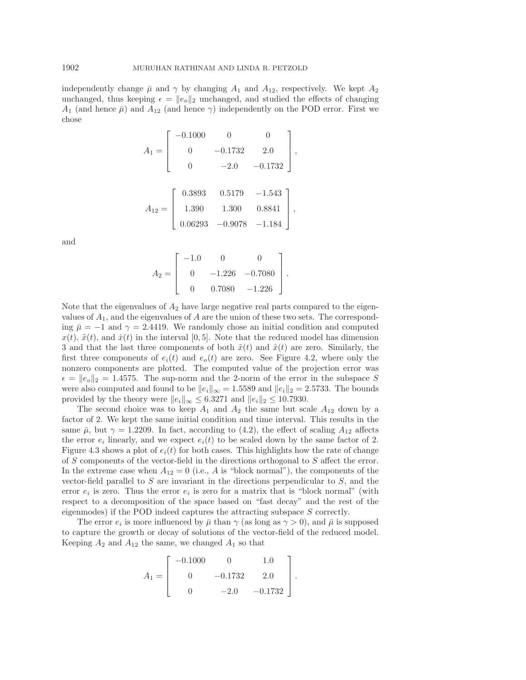independently change  $\bar{\mu}$  and  $\gamma$  by changing  $A_1$  and  $A_{12}$ , respectively. We kept  $A_2$ unchanged, thus keeping  $\epsilon = ||e_0||_2$  unchanged, and studied the effects of changing  $A_1$  (and hence  $\bar{\mu}$ ) and  $A_{12}$  (and hence  $\gamma$ ) independently on the POD error. First we chose

$$
A_1 = \begin{bmatrix} -0.1000 & 0 & 0 \\ 0 & -0.1732 & 2.0 \\ 0 & -2.0 & -0.1732 \end{bmatrix},
$$

$$
A_{12} = \begin{bmatrix} 0.3893 & 0.5179 & -1.543 \\ 1.390 & 1.300 & 0.8841 \\ 0.06293 & -0.9078 & -1.184 \end{bmatrix},
$$

and

$$
A_2 = \begin{bmatrix} -1.0 & 0 & 0 \\ 0 & -1.226 & -0.7080 \\ 0 & 0.7080 & -1.226 \end{bmatrix}.
$$

Note that the eigenvalues of  $A_2$  have large negative real parts compared to the eigenvalues of  $A_1$ , and the eigenvalues of A are the union of these two sets. The corresponding  $\bar{\mu} = -1$  and  $\gamma = 2.4419$ . We randomly chose an initial condition and computed  $x(t), \tilde{x}(t)$ , and  $\hat{x}(t)$  in the interval [0,5]. Note that the reduced model has dimension 3 and that the last three components of both  $\tilde{x}(t)$  and  $\hat{x}(t)$  are zero. Similarly, the first three components of  $e_i(t)$  and  $e_o(t)$  are zero. See Figure 4.2, where only the nonzero components are plotted. The computed value of the projection error was  $\epsilon = ||e_o||_2 = 1.4575$ . The sup-norm and the 2-norm of the error in the subspace S were also computed and found to be  $||e_i||_{\infty} = 1.5589$  and  $||e_i||_2 = 2.5733$ . The bounds provided by the theory were  $||e_i||_{\infty} \leq 6.3271$  and  $||e_i||_2 \leq 10.7930$ .

The second choice was to keep  $A_1$  and  $A_2$  the same but scale  $A_{12}$  down by a factor of 2. We kept the same initial condition and time interval. This results in the same  $\bar{\mu}$ , but  $\gamma = 1.2209$ . In fact, according to (4.2), the effect of scaling  $A_{12}$  affects the error  $e_i$  linearly, and we expect  $e_i(t)$  to be scaled down by the same factor of 2. Figure 4.3 shows a plot of  $e_i(t)$  for both cases. This highlights how the rate of change of S components of the vector-field in the directions orthogonal to S affect the error. In the extreme case when  $A_{12} = 0$  (i.e., A is "block normal"), the components of the vector-field parallel to  $S$  are invariant in the directions perpendicular to  $S$ , and the error  $e_i$  is zero. Thus the error  $e_i$  is zero for a matrix that is "block normal" (with respect to a decomposition of the space based on "fast decay" and the rest of the eigenmodes) if the POD indeed captures the attracting subspace S correctly.

The error  $e_i$  is more influenced by  $\bar{\mu}$  than  $\gamma$  (as long as  $\gamma > 0$ ), and  $\bar{\mu}$  is supposed to capture the growth or decay of solutions of the vector-field of the reduced model. Keeping  $A_2$  and  $A_{12}$  the same, we changed  $A_1$  so that

$$
A_1 = \begin{bmatrix} -0.1000 & 0 & 1.0 \\ 0 & -0.1732 & 2.0 \\ 0 & -2.0 & -0.1732 \end{bmatrix}.
$$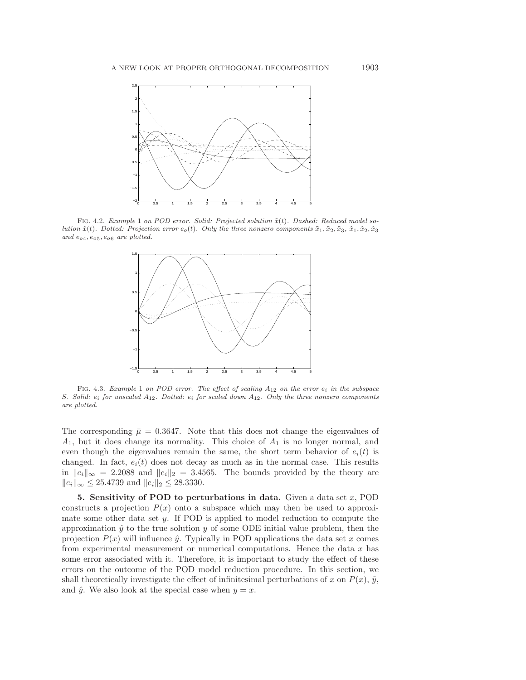

FIG. 4.2. Example 1 on POD error. Solid: Projected solution  $\tilde{x}(t)$ . Dashed: Reduced model solution  $\hat{x}(t)$ . Dotted: Projection error  $e_o(t)$ . Only the three nonzero components  $\tilde{x}_1, \tilde{x}_2, \tilde{x}_3, \tilde{x}_1, \hat{x}_2, \tilde{x}_3$ and  $e_{o4}, e_{o5}, e_{o6}$  are plotted.



FIG. 4.3. Example 1 on POD error. The effect of scaling  $A_{12}$  on the error  $e_i$  in the subspace S. Solid:  $e_i$  for unscaled  $A_{12}$ . Dotted:  $e_i$  for scaled down  $A_{12}$ . Only the three nonzero components are plotted.

The corresponding  $\bar{\mu} = 0.3647$ . Note that this does not change the eigenvalues of  $A_1$ , but it does change its normality. This choice of  $A_1$  is no longer normal, and even though the eigenvalues remain the same, the short term behavior of  $e_i(t)$  is changed. In fact,  $e_i(t)$  does not decay as much as in the normal case. This results in  $||e_i||_{\infty} = 2.2088$  and  $||e_i||_2 = 3.4565$ . The bounds provided by the theory are  $||e_i||_{\infty} \le 25.4739$  and  $||e_i||_2 \le 28.3330$ .

**5. Sensitivity of POD to perturbations in data.** Given a data set  $x$ , POD constructs a projection  $P(x)$  onto a subspace which may then be used to approximate some other data set  $y$ . If POD is applied to model reduction to compute the approximation  $\hat{y}$  to the true solution y of some ODE initial value problem, then the projection  $P(x)$  will influence  $\hat{y}$ . Typically in POD applications the data set x comes from experimental measurement or numerical computations. Hence the data  $x$  has some error associated with it. Therefore, it is important to study the effect of these errors on the outcome of the POD model reduction procedure. In this section, we shall theoretically investigate the effect of infinitesimal perturbations of x on  $P(x)$ ,  $\tilde{y}$ , and  $\hat{y}$ . We also look at the special case when  $y = x$ .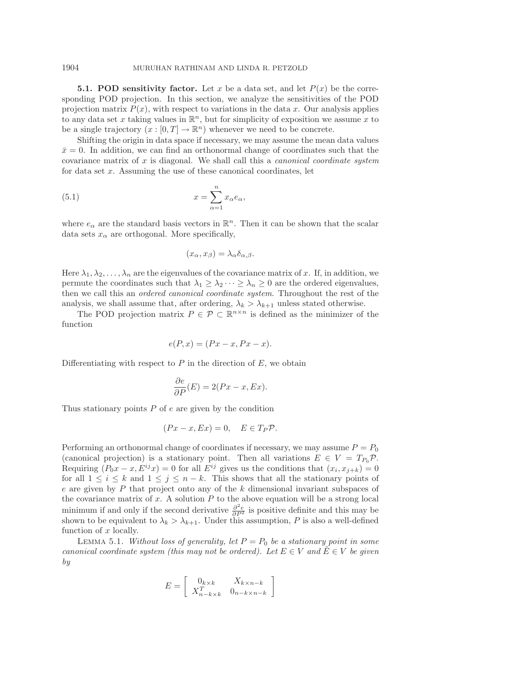### 1904 MURUHAN RATHINAM AND LINDA R. PETZOLD

**5.1. POD sensitivity factor.** Let x be a data set, and let  $P(x)$  be the corresponding POD projection. In this section, we analyze the sensitivities of the POD projection matrix  $P(x)$ , with respect to variations in the data x. Our analysis applies to any data set x taking values in  $\mathbb{R}^n$ , but for simplicity of exposition we assume x to be a single trajectory  $(x : [0, T] \to \mathbb{R}^n)$  whenever we need to be concrete.

Shifting the origin in data space if necessary, we may assume the mean data values  $\bar{x}=0$ . In addition, we can find an orthonormal change of coordinates such that the covariance matrix of  $x$  is diagonal. We shall call this a *canonical coordinate system* for data set  $x$ . Assuming the use of these canonical coordinates, let

(5.1) 
$$
x = \sum_{\alpha=1}^{n} x_{\alpha} e_{\alpha},
$$

where  $e_{\alpha}$  are the standard basis vectors in  $\mathbb{R}^n$ . Then it can be shown that the scalar data sets  $x_{\alpha}$  are orthogonal. More specifically,

$$
(x_{\alpha}, x_{\beta}) = \lambda_{\alpha} \delta_{\alpha, \beta}.
$$

Here  $\lambda_1, \lambda_2, \ldots, \lambda_n$  are the eigenvalues of the covariance matrix of x. If, in addition, we permute the coordinates such that  $\lambda_1 \geq \lambda_2 \cdots \geq \lambda_n \geq 0$  are the ordered eigenvalues, then we call this an ordered canonical coordinate system. Throughout the rest of the analysis, we shall assume that, after ordering,  $\lambda_k > \lambda_{k+1}$  unless stated otherwise.

The POD projection matrix  $P \in \mathcal{P} \subset \mathbb{R}^{n \times n}$  is defined as the minimizer of the function

$$
e(P, x) = (Px - x, Px - x).
$$

Differentiating with respect to  $P$  in the direction of  $E$ , we obtain

$$
\frac{\partial e}{\partial P}(E) = 2(Px - x, Ex).
$$

Thus stationary points  $P$  of  $e$  are given by the condition

$$
(Px - x, Ex) = 0, \quad E \in T_P \mathcal{P}.
$$

Performing an orthonormal change of coordinates if necessary, we may assume  $P = P_0$ (canonical projection) is a stationary point. Then all variations  $E \in V = T_{P_0} \mathcal{P}$ . Requiring  $(P_0x - x, E^{ij}x) = 0$  for all  $E^{ij}$  gives us the conditions that  $(x_i, x_{i+k}) = 0$ for all  $1 \leq i \leq k$  and  $1 \leq j \leq n-k$ . This shows that all the stationary points of e are given by P that project onto any of the  $k$  dimensional invariant subspaces of the covariance matrix of  $x$ . A solution  $P$  to the above equation will be a strong local minimum if and only if the second derivative  $\frac{\partial^2 e}{\partial P^2}$  is positive definite and this may be shown to be equivalent to  $\lambda_k > \lambda_{k+1}$ . Under this assumption, P is also a well-defined function of  $x$  locally.

LEMMA 5.1. Without loss of generality, let  $P = P_0$  be a stationary point in some canonical coordinate system (this may not be ordered). Let  $E \in V$  and  $E \in V$  be given by

$$
E = \left[ \begin{array}{cc} 0_{k \times k} & X_{k \times n-k} \\ X_{n-k \times k}^T & 0_{n-k \times n-k} \end{array} \right]
$$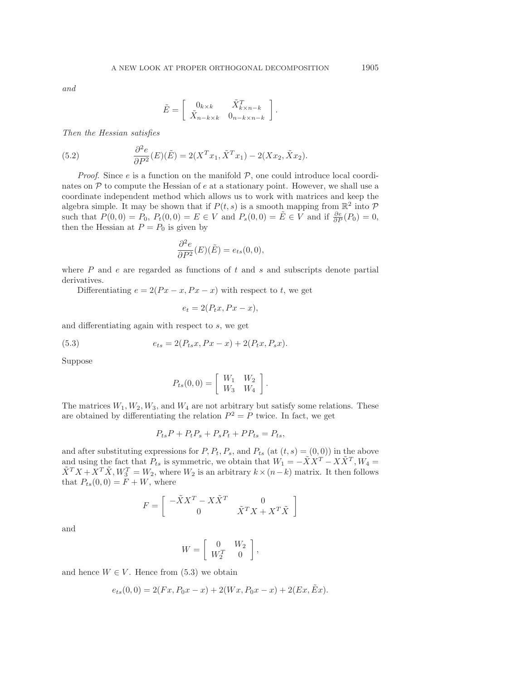and

$$
\tilde{E} = \left[ \begin{array}{cc} 0_{k \times k} & \tilde{X}_{k \times n-k}^T \\ \tilde{X}_{n-k \times k} & 0_{n-k \times n-k} \end{array} \right]
$$

.

Then the Hessian satisfies

(5.2) 
$$
\frac{\partial^2 e}{\partial P^2}(E)(\tilde{E}) = 2(X^T x_1, \tilde{X}^T x_1) - 2(X x_2, \tilde{X} x_2).
$$

*Proof.* Since e is a function on the manifold  $P$ , one could introduce local coordinates on  $P$  to compute the Hessian of  $e$  at a stationary point. However, we shall use a coordinate independent method which allows us to work with matrices and keep the algebra simple. It may be shown that if  $P(t, s)$  is a smooth mapping from  $\mathbb{R}^2$  into  $\mathcal P$ such that  $P(0,0) = P_0$ ,  $P_t(0,0) = E \in V$  and  $P_s(0,0) = \tilde{E} \in V$  and if  $\frac{\partial e}{\partial P}(P_0) = 0$ , then the Hessian at  $P = P_0$  is given by

$$
\frac{\partial^2 e}{\partial P^2}(E)(\tilde{E}) = e_{ts}(0,0),
$$

where  $P$  and  $e$  are regarded as functions of  $t$  and  $s$  and subscripts denote partial derivatives.

Differentiating  $e = 2(Px - x, Px - x)$  with respect to t, we get

$$
e_t = 2(P_t x, Px - x),
$$

and differentiating again with respect to s, we get

(5.3) 
$$
e_{ts} = 2(P_{ts}x, Px - x) + 2(P_{t}x, P_{s}x).
$$

Suppose

$$
P_{ts}(0,0) = \left[ \begin{array}{cc} W_1 & W_2 \\ W_3 & W_4 \end{array} \right].
$$

The matrices  $W_1, W_2, W_3$ , and  $W_4$  are not arbitrary but satisfy some relations. These are obtained by differentiating the relation  $P^2 = P$  twice. In fact, we get

$$
P_{ts}P + P_tP_s + P_sP_t + PP_{ts} = P_{ts},
$$

and after substituting expressions for  $P, P_t, P_s$ , and  $P_{ts}$  (at  $(t, s) = (0, 0)$ ) in the above and using the fact that  $P_{ts}$  is symmetric, we obtain that  $W_1 = -\tilde{X}X^T - X\tilde{X}^T$ ,  $W_4 = \tilde{X}X^T - \tilde{X}X^T$  $\tilde{X}^T X + \tilde{X}^T \tilde{X}, W_3^T = W_2$ , where  $W_2$  is an arbitrary  $k \times (n-k)$  matrix. It then follows that  $P_{ts}(0,0) = \tilde{F} + W$ , where

$$
F = \left[ \begin{array}{cc} -\tilde{X}X^T - X\tilde{X}^T & 0\\ 0 & \tilde{X}^TX + X^T\tilde{X} \end{array} \right]
$$

and

$$
W = \left[ \begin{array}{cc} 0 & W_2 \\ W_2^T & 0 \end{array} \right],
$$

and hence  $W \in V$ . Hence from (5.3) we obtain

$$
e_{ts}(0,0) = 2(Fx,P_0x-x) + 2(Wx,P_0x-x) + 2(EX,\tilde{E}x).
$$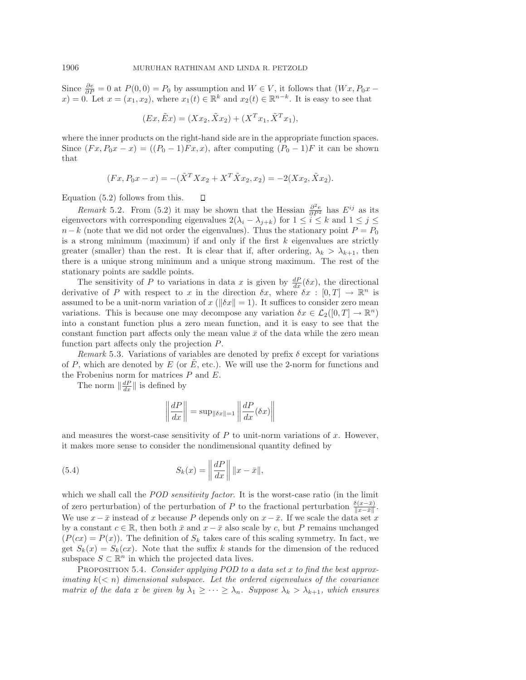Since  $\frac{\partial e}{\partial P} = 0$  at  $P(0,0) = P_0$  by assumption and  $W \in V$ , it follows that  $(Wx, P_0x$  $x$ ) = 0. Let  $x = (x_1, x_2)$ , where  $x_1(t) \in \mathbb{R}^k$  and  $x_2(t) \in \mathbb{R}^{n-k}$ . It is easy to see that

$$
(Ex, \tilde{E}x) = (Xx_2, \tilde{X}x_2) + (X^T x_1, \tilde{X}^T x_1),
$$

where the inner products on the right-hand side are in the appropriate function spaces. Since  $(Fx, P_0x - x) = ((P_0 - 1)Fx, x)$ , after computing  $(P_0 - 1)F$  it can be shown that

$$
(Fx, P_0x - x) = -(\tilde{X}^T X x_2 + X^T \tilde{X} x_2, x_2) = -2(Xx_2, \tilde{X} x_2).
$$

 $\Box$ 

Equation (5.2) follows from this.

*Remark* 5.2. From (5.2) it may be shown that the Hessian  $\frac{\partial^2 e}{\partial P^2}$  has  $E^{ij}$  as its eigenvectors with corresponding eigenvalues  $2(\lambda_i - \lambda_{j+k})$  for  $1 \le i \le k$  and  $1 \le j \le k$  $n - k$  (note that we did not order the eigenvalues). Thus the stationary point  $P = P_0$ is a strong minimum (maximum) if and only if the first  $k$  eigenvalues are strictly greater (smaller) than the rest. It is clear that if, after ordering,  $\lambda_k > \lambda_{k+1}$ , then there is a unique strong minimum and a unique strong maximum. The rest of the stationary points are saddle points.

The sensitivity of P to variations in data x is given by  $\frac{dP}{dx}(\delta x)$ , the directional derivative of P with respect to x in the direction  $\delta x$ , where  $\delta x : [0, T] \to \mathbb{R}^n$  is assumed to be a unit-norm variation of  $x$  ( $\|\delta x\| = 1$ ). It suffices to consider zero mean variations. This is because one may decompose any variation  $\delta x \in \mathcal{L}_2([0,T] \to \mathbb{R}^n)$ into a constant function plus a zero mean function, and it is easy to see that the constant function part affects only the mean value  $\bar{x}$  of the data while the zero mean function part affects only the projection P.

Remark 5.3. Variations of variables are denoted by prefix  $\delta$  except for variations of  $P$ , which are denoted by  $E$  (or  $E$ , etc.). We will use the 2-norm for functions and the Frobenius norm for matrices P and E.

The norm  $\left\|\frac{dP}{dx}\right\|$  is defined by

$$
\left\| \frac{dP}{dx} \right\| = \sup_{\|\delta x\|=1} \left\| \frac{dP}{dx} (\delta x) \right\|
$$

and measures the worst-case sensitivity of  $P$  to unit-norm variations of  $x$ . However, it makes more sense to consider the nondimensional quantity defined by

(5.4) 
$$
S_k(x) = \left\| \frac{dP}{dx} \right\| \|x - \bar{x}\|,
$$

which we shall call the POD sensitivity factor. It is the worst-case ratio (in the limit of zero perturbation) of the perturbation of P to the fractional perturbation  $\frac{\delta(x-\bar{x})}{||x-\bar{x}||}$ . We use  $x-\bar{x}$  instead of x because P depends only on  $x-\bar{x}$ . If we scale the data set x by a constant  $c \in \mathbb{R}$ , then both  $\bar{x}$  and  $x - \bar{x}$  also scale by c, but P remains unchanged  $(P(cx) = P(x))$ . The definition of  $S_k$  takes care of this scaling symmetry. In fact, we get  $S_k(x) = S_k(cx)$ . Note that the suffix k stands for the dimension of the reduced subspace  $S \subset \mathbb{R}^n$  in which the projected data lives.

PROPOSITION 5.4. Consider applying POD to a data set x to find the best approximating  $k(< n)$  dimensional subspace. Let the ordered eigenvalues of the covariance matrix of the data x be given by  $\lambda_1 \geq \cdots \geq \lambda_n$ . Suppose  $\lambda_k > \lambda_{k+1}$ , which ensures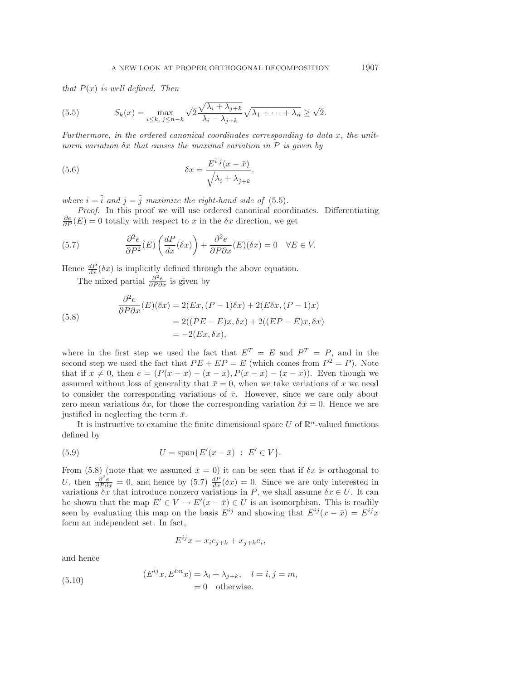that  $P(x)$  is well defined. Then

(5.5) 
$$
S_k(x) = \max_{i \leq k, j \leq n-k} \sqrt{2} \frac{\sqrt{\lambda_i + \lambda_{j+k}}}{\lambda_i - \lambda_{j+k}} \sqrt{\lambda_1 + \dots + \lambda_n} \geq \sqrt{2}.
$$

Furthermore, in the ordered canonical coordinates corresponding to data x, the unitnorm variation  $\delta x$  that causes the maximal variation in P is given by

(5.6) 
$$
\delta x = \frac{E^{\tilde{i},\tilde{j}}(x-\bar{x})}{\sqrt{\lambda_{\tilde{i}} + \lambda_{\tilde{j}+k}}},
$$

where  $i = \tilde{i}$  and  $j = \tilde{j}$  maximize the right-hand side of (5.5).

Proof. In this proof we will use ordered canonical coordinates. Differentiating  $\frac{\partial e}{\partial P}(E) = 0$  totally with respect to x in the  $\delta x$  direction, we get

(5.7) 
$$
\frac{\partial^2 e}{\partial P^2}(E)\left(\frac{dP}{dx}(\delta x)\right) + \frac{\partial^2 e}{\partial P \partial x}(E)(\delta x) = 0 \quad \forall E \in V.
$$

Hence  $\frac{dP}{dx}(\delta x)$  is implicitly defined through the above equation.

The mixed partial  $\frac{\partial^2 e}{\partial P \partial x}$  is given by

(5.8)  
\n
$$
\frac{\partial^2 e}{\partial P \partial x}(E)(\delta x) = 2(EX, (P-1)\delta x) + 2(E\delta x, (P-1)x)
$$
\n
$$
= 2((PE - E)x, \delta x) + 2((EP - E)x, \delta x)
$$
\n
$$
= -2(EX, \delta x),
$$

where in the first step we used the fact that  $E^T = E$  and  $P^T = P$ , and in the second step we used the fact that  $PE + EP = E$  (which comes from  $P^2 = P$ ). Note that if  $\bar{x} \neq 0$ , then  $e = (P(x - \bar{x}) - (x - \bar{x}), P(x - \bar{x}) - (x - \bar{x}))$ . Even though we assumed without loss of generality that  $\bar{x} = 0$ , when we take variations of x we need to consider the corresponding variations of  $\bar{x}$ . However, since we care only about zero mean variations  $\delta x$ , for those the corresponding variation  $\delta \bar{x}=0$ . Hence we are justified in neglecting the term  $\bar{x}$ .

It is instructive to examine the finite dimensional space  $U$  of  $\mathbb{R}^n$ -valued functions defined by

(5.9) 
$$
U = \text{span}\{E'(x - \bar{x}) : E' \in V\}.
$$

From (5.8) (note that we assumed  $\bar{x} = 0$ ) it can be seen that if  $\delta x$  is orthogonal to U, then  $\frac{\partial^2 e}{\partial P \partial x} = 0$ , and hence by (5.7)  $\frac{dP}{dx}(\delta x) = 0$ . Since we are only interested in variations  $\delta x$  that introduce nonzero variations in P, we shall assume  $\delta x \in U$ . It can be shown that the map  $E' \in V \to E'(x - \bar{x}) \in U$  is an isomorphism. This is readily seen by evaluating this map on the basis  $E^{ij}$  and showing that  $E^{ij}(x - \bar{x}) = E^{ij}x$ form an independent set. In fact,

$$
E^{ij}x = x_i e_{j+k} + x_{j+k} e_i,
$$

and hence

(5.10) 
$$
(E^{ij}x, E^{lm}x) = \lambda_i + \lambda_{j+k}, \quad l = i, j = m,
$$

$$
= 0 \quad \text{otherwise.}
$$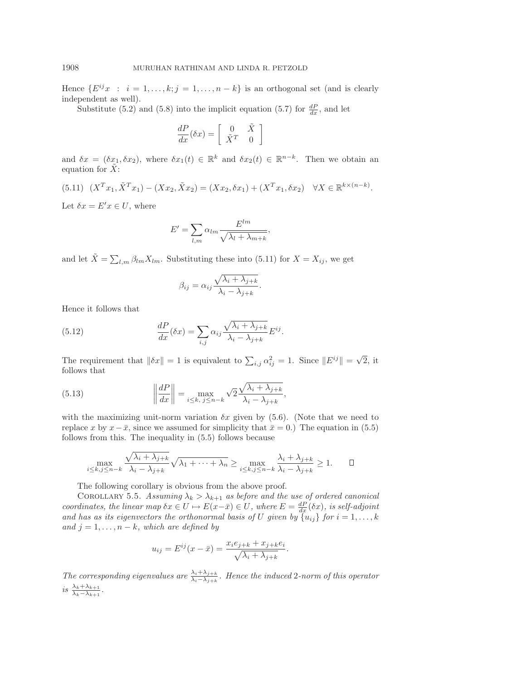Hence  $\{E^{ij}x : i = 1,\ldots,k; j = 1,\ldots,n-k\}$  is an orthogonal set (and is clearly independent as well).

Substitute (5.2) and (5.8) into the implicit equation (5.7) for  $\frac{dP}{dx}$ , and let

$$
\frac{dP}{dx}(\delta x) = \begin{bmatrix} 0 & \tilde{X} \\ \tilde{X}^T & 0 \end{bmatrix}
$$

and  $\delta x = (\delta x_1, \delta x_2)$ , where  $\delta x_1(t) \in \mathbb{R}^k$  and  $\delta x_2(t) \in \mathbb{R}^{n-k}$ . Then we obtain an equation for  $\tilde{X}$ :

$$
(5.11) \quad (X^T x_1, \tilde{X}^T x_1) - (X x_2, \tilde{X} x_2) = (X x_2, \delta x_1) + (X^T x_1, \delta x_2) \quad \forall X \in \mathbb{R}^{k \times (n-k)}.
$$

Let  $\delta x = E'x \in U$ , where

$$
E' = \sum_{l,m} \alpha_{lm} \frac{E^{lm}}{\sqrt{\lambda_l + \lambda_{m+k}}},
$$

and let  $\tilde{X} = \sum_{l,m} \beta_{lm} X_{lm}$ . Substituting these into (5.11) for  $X = X_{ij}$ , we get

$$
\beta_{ij} = \alpha_{ij} \frac{\sqrt{\lambda_i + \lambda_{j+k}}}{\lambda_i - \lambda_{j+k}}.
$$

Hence it follows that

(5.12) 
$$
\frac{dP}{dx}(\delta x) = \sum_{i,j} \alpha_{ij} \frac{\sqrt{\lambda_i + \lambda_{j+k}}}{\lambda_i - \lambda_{j+k}} E^{ij}.
$$

The requirement that  $\|\delta x\| = 1$  is equivalent to  $\sum_{i,j} \alpha_{ij}^2 = 1$ . Since  $\|E^{ij}\| = \sqrt{2}$ , it follows that

(5.13) 
$$
\left\| \frac{dP}{dx} \right\| = \max_{i \le k, j \le n-k} \sqrt{2} \frac{\sqrt{\lambda_i + \lambda_{j+k}}}{\lambda_i - \lambda_{j+k}},
$$

with the maximizing unit-norm variation  $\delta x$  given by (5.6). (Note that we need to replace x by  $x-\bar{x}$ , since we assumed for simplicity that  $\bar{x} = 0$ .) The equation in (5.5) follows from this. The inequality in (5.5) follows because

$$
\max_{i \leq k, j \leq n-k} \frac{\sqrt{\lambda_i + \lambda_{j+k}}}{\lambda_i - \lambda_{j+k}} \sqrt{\lambda_1 + \dots + \lambda_n} \geq \max_{i \leq k, j \leq n-k} \frac{\lambda_i + \lambda_{j+k}}{\lambda_i - \lambda_{j+k}} \geq 1.
$$

The following corollary is obvious from the above proof.

COROLLARY 5.5. Assuming  $\lambda_k > \lambda_{k+1}$  as before and the use of ordered canonical coordinates, the linear map  $\delta x \in U \mapsto E(x-\bar{x}) \in U$ , where  $E = \frac{dP}{dx}(\delta x)$ , is self-adjoint and has as its eigenvectors the orthonormal basis of U given by  $\{u_{ij}\}$  for  $i = 1, \ldots, k$ and  $j = 1, \ldots, n - k$ , which are defined by

$$
u_{ij} = E^{ij}(x - \bar{x}) = \frac{x_i e_{j+k} + x_{j+k} e_i}{\sqrt{\lambda_i + \lambda_{j+k}}}.
$$

The corresponding eigenvalues are  $\frac{\lambda_i + \lambda_{j+k}}{\lambda_i - \lambda_{j+k}}$ . Hence the induced 2-norm of this operator is  $\frac{\lambda_k + \lambda_{k+1}}{\lambda_k - \lambda_{k+1}}$ .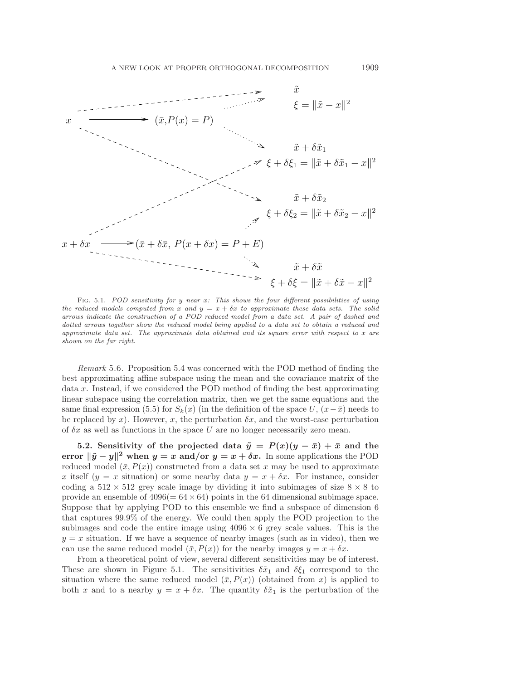

FIG. 5.1. POD sensitivity for y near x: This shows the four different possibilities of using the reduced models computed from x and  $y = x + \delta x$  to approximate these data sets. The solid arrows indicate the construction of a POD reduced model from a data set. A pair of dashed and dotted arrows together show the reduced model being applied to a data set to obtain a reduced and approximate data set. The approximate data obtained and its square error with respect to x are shown on the far right.

Remark 5.6. Proposition 5.4 was concerned with the POD method of finding the best approximating affine subspace using the mean and the covariance matrix of the data x. Instead, if we considered the POD method of finding the best approximating linear subspace using the correlation matrix, then we get the same equations and the same final expression (5.5) for  $S_k(x)$  (in the definition of the space U,  $(x-\bar{x})$  needs to be replaced by x). However, x, the perturbation  $\delta x$ , and the worst-case perturbation of  $\delta x$  as well as functions in the space U are no longer necessarily zero mean.

**5.2.** Sensitivity of the projected data  $\tilde{y} = P(x)(y - \bar{x}) + \bar{x}$  and the **error**  $\|\tilde{y} - y\|^2$  when  $y = x$  and/or  $y = x + \delta x$ . In some applications the POD reduced model  $(\bar{x}, P(x))$  constructed from a data set x may be used to approximate x itself  $(y = x$  situation) or some nearby data  $y = x + \delta x$ . For instance, consider coding a  $512 \times 512$  grey scale image by dividing it into subimages of size  $8 \times 8$  to provide an ensemble of  $4096(= 64 \times 64)$  points in the 64 dimensional subimage space. Suppose that by applying POD to this ensemble we find a subspace of dimension 6 that captures 99.9% of the energy. We could then apply the POD projection to the subimages and code the entire image using  $4096 \times 6$  grey scale values. This is the  $y = x$  situation. If we have a sequence of nearby images (such as in video), then we can use the same reduced model  $(\bar{x}, P(x))$  for the nearby images  $y = x + \delta x$ .

From a theoretical point of view, several different sensitivities may be of interest. These are shown in Figure 5.1. The sensitivities  $\delta \tilde{x}_1$  and  $\delta \xi_1$  correspond to the situation where the same reduced model  $(\bar{x}, P(x))$  (obtained from x) is applied to both x and to a nearby  $y = x + \delta x$ . The quantity  $\delta \tilde{x}_1$  is the perturbation of the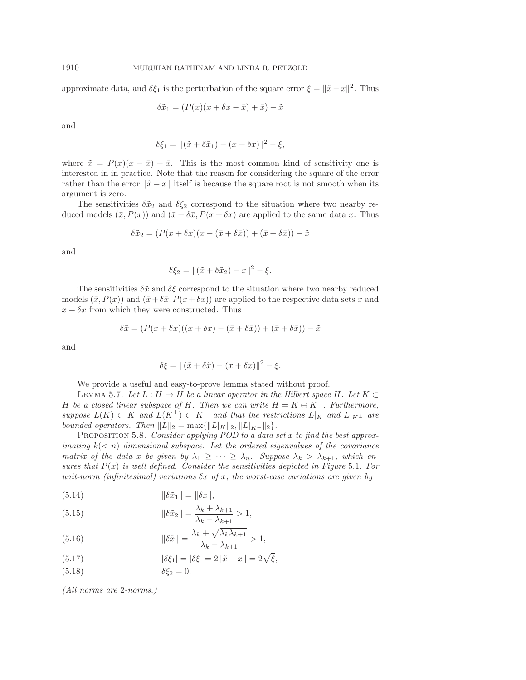approximate data, and  $\delta \xi_1$  is the perturbation of the square error  $\xi = ||\tilde{x} - x||^2$ . Thus

$$
\delta \tilde{x}_1 = (P(x)(x + \delta x - \bar{x}) + \bar{x}) - \tilde{x}
$$

and

$$
\delta \xi_1 = ||(\tilde{x} + \delta \tilde{x}_1) - (x + \delta x)||^2 - \xi,
$$

where  $\tilde{x} = P(x)(x - \bar{x}) + \bar{x}$ . This is the most common kind of sensitivity one is interested in in practice. Note that the reason for considering the square of the error rather than the error  $\|\tilde{x} - x\|$  itself is because the square root is not smooth when its argument is zero.

The sensitivities  $\delta \tilde{x}_2$  and  $\delta \xi_2$  correspond to the situation where two nearby reduced models  $(\bar{x}, P(x))$  and  $(\bar{x} + \delta \bar{x}, P(x + \delta x))$  are applied to the same data x. Thus

$$
\delta \tilde{x}_2 = (P(x + \delta x)(x - (\bar{x} + \delta \bar{x})) + (\bar{x} + \delta \bar{x})) - \tilde{x}
$$

and

$$
\delta \xi_2 = ||(\tilde{x} + \delta \tilde{x}_2) - x||^2 - \xi.
$$

The sensitivities  $\delta \tilde{x}$  and  $\delta \xi$  correspond to the situation where two nearby reduced models  $(\bar{x}, P(x))$  and  $(\bar{x}+\delta\bar{x}, P(x+\delta x))$  are applied to the respective data sets x and  $x + \delta x$  from which they were constructed. Thus

$$
\delta \tilde{x} = (P(x + \delta x)((x + \delta x) - (\bar{x} + \delta \bar{x})) + (\bar{x} + \delta \bar{x})) - \tilde{x}
$$

and

$$
\delta \xi = \|(\tilde{x} + \delta \tilde{x}) - (x + \delta x)\|^2 - \xi.
$$

We provide a useful and easy-to-prove lemma stated without proof.

LEMMA 5.7. Let  $L : H \to H$  be a linear operator in the Hilbert space H. Let  $K \subset$ H be a closed linear subspace of H. Then we can write  $H = K \oplus K^{\perp}$ . Furthermore, suppose  $L(K) \subset K$  and  $L(K^{\perp}) \subset K^{\perp}$  and that the restrictions  $L|_K$  and  $L|_{K^{\perp}}$  are bounded operators. Then  $||L||_2 = \max{||L||_K||_2, ||L||_K||_2}.$ 

PROPOSITION 5.8. Consider applying POD to a data set x to find the best approximating  $k(< n)$  dimensional subspace. Let the ordered eigenvalues of the covariance matrix of the data x be given by  $\lambda_1 \geq \cdots \geq \lambda_n$ . Suppose  $\lambda_k > \lambda_{k+1}$ , which ensures that  $P(x)$  is well defined. Consider the sensitivities depicted in Figure 5.1. For unit-norm (infinitesimal) variations  $\delta x$  of x, the worst-case variations are given by

(5.14) δx˜1 = δx,

(5.15) 
$$
\|\delta \tilde{x}_2\| = \frac{\lambda_k + \lambda_{k+1}}{\lambda_k - \lambda_{k+1}} > 1,
$$

(5.16) 
$$
\|\delta \tilde{x}\| = \frac{\lambda_k + \sqrt{\lambda_k \lambda_{k+1}}}{\lambda_k - \lambda_{k+1}} > 1,
$$

(5.17) 
$$
|\delta \xi_1| = |\delta \xi| = 2\|\tilde{x} - x\| = 2\sqrt{\xi},
$$

$$
\delta \xi_2 = 0.
$$

(All norms are 2-norms.)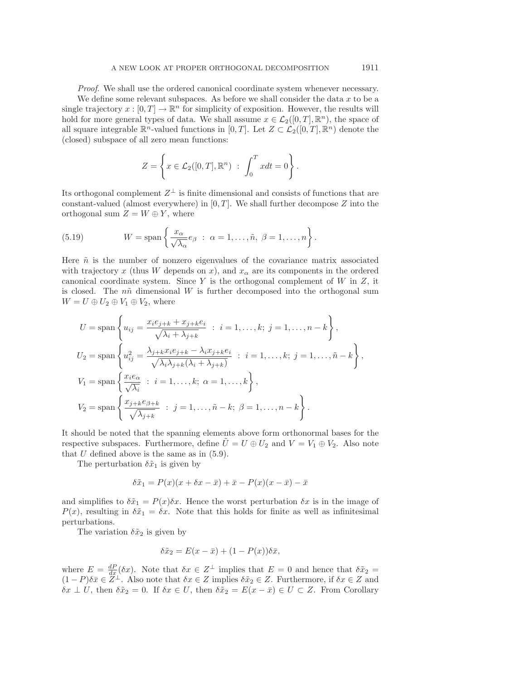Proof. We shall use the ordered canonical coordinate system whenever necessary. We define some relevant subspaces. As before we shall consider the data  $x$  to be a single trajectory  $x : [0, T] \to \mathbb{R}^n$  for simplicity of exposition. However, the results will hold for more general types of data. We shall assume  $x \in \mathcal{L}_2([0,T], \mathbb{R}^n)$ , the space of all square integrable  $\mathbb{R}^n$ -valued functions in  $[0, T]$ . Let  $Z \subset \mathcal{L}_2([0, T], \mathbb{R}^n)$  denote the (closed) subspace of all zero mean functions:

$$
Z = \left\{ x \in \mathcal{L}_2([0,T], \mathbb{R}^n) \ : \ \int_0^T x dt = 0 \right\}.
$$

Its orthogonal complement  $Z^{\perp}$  is finite dimensional and consists of functions that are constant-valued (almost everywhere) in  $[0, T]$ . We shall further decompose Z into the orthogonal sum  $Z = W \oplus Y$ , where

(5.19) 
$$
W = \text{span}\left\{\frac{x_{\alpha}}{\sqrt{\lambda_{\alpha}}}e_{\beta} : \alpha = 1, \ldots, \tilde{n}, \beta = 1, \ldots, n\right\}.
$$

Here  $\tilde{n}$  is the number of nonzero eigenvalues of the covariance matrix associated with trajectory x (thus W depends on x), and  $x_\alpha$  are its components in the ordered canonical coordinate system. Since  $Y$  is the orthogonal complement of  $W$  in  $Z$ , it is closed. The  $n\tilde{n}$  dimensional W is further decomposed into the orthogonal sum  $W = U \oplus U_2 \oplus V_1 \oplus V_2$ , where

$$
U = \text{span}\left\{u_{ij} = \frac{x_i e_{j+k} + x_{j+k} e_i}{\sqrt{\lambda_i + \lambda_{j+k}}}: i = 1, ..., k; j = 1, ..., n-k\right\},\
$$
  

$$
U_2 = \text{span}\left\{u_{ij}^2 = \frac{\lambda_{j+k} x_i e_{j+k} - \lambda_i x_{j+k} e_i}{\sqrt{\lambda_i \lambda_{j+k} (\lambda_i + \lambda_{j+k})}}: i = 1, ..., k; j = 1, ..., \tilde{n} - k\right\},\
$$
  

$$
V_1 = \text{span}\left\{\frac{x_i e_\alpha}{\sqrt{\lambda_i}}: i = 1, ..., k; \alpha = 1, ..., k\right\},\
$$
  

$$
V_2 = \text{span}\left\{\frac{x_{j+k} e_{\beta+k}}{\sqrt{\lambda_{j+k}}}: j = 1, ..., \tilde{n} - k; \beta = 1, ..., n - k\right\}.
$$

It should be noted that the spanning elements above form orthonormal bases for the respective subspaces. Furthermore, define  $\tilde{U} = U \oplus U_2$  and  $V = V_1 \oplus V_2$ . Also note that  $U$  defined above is the same as in  $(5.9)$ .

The perturbation  $\delta \tilde{x}_1$  is given by

$$
\delta \tilde{x}_1 = P(x)(x + \delta x - \bar{x}) + \bar{x} - P(x)(x - \bar{x}) - \bar{x}
$$

and simplifies to  $\delta \tilde{x}_1 = P(x)\delta x$ . Hence the worst perturbation  $\delta x$  is in the image of  $P(x)$ , resulting in  $\delta \tilde{x}_1 = \delta x$ . Note that this holds for finite as well as infinitesimal perturbations.

The variation  $\delta \tilde{x}_2$  is given by

$$
\delta \tilde{x}_2 = E(x - \bar{x}) + (1 - P(x))\delta \bar{x},
$$

where  $E = \frac{dP}{dx}(\delta x)$ . Note that  $\delta x \in Z^{\perp}$  implies that  $E = 0$  and hence that  $\delta \tilde{x}_2 =$  $(1 - P)\delta \bar{x} \in Z^{\perp}$ . Also note that  $\delta x \in Z$  implies  $\delta \tilde{x}_2 \in Z$ . Furthermore, if  $\delta x \in Z$  and  $\delta x \perp U$ , then  $\delta \tilde{x}_2 = 0$ . If  $\delta x \in U$ , then  $\delta \tilde{x}_2 = E(x - \bar{x}) \in U \subset Z$ . From Corollary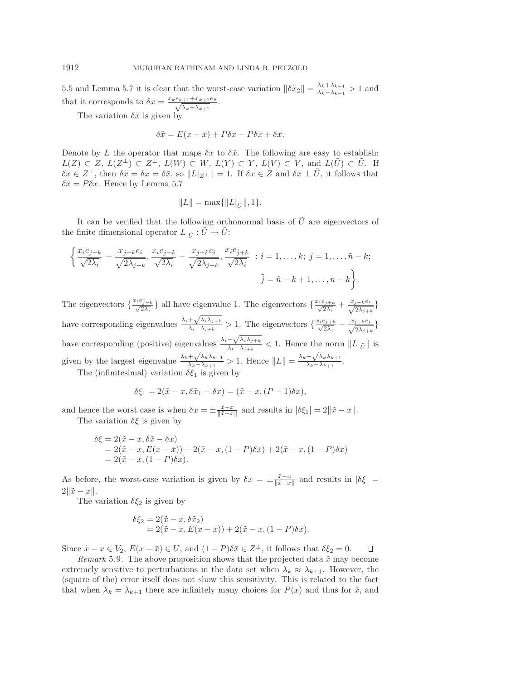5.5 and Lemma 5.7 it is clear that the worst-case variation  $\|\delta \tilde{x}_2\| = \frac{\lambda_k + \lambda_{k+1}}{\lambda_k - \lambda_{k+1}} > 1$  and that it corresponds to  $\delta x = \frac{x_k e_{k+1} + x_{k+1}e_k}{\sqrt{\lambda_k + \lambda_{k+1}}}.$ 

The variation  $\delta \tilde{x}$  is given by

$$
\delta \tilde{x} = E(x - \bar{x}) + P \delta x - P \delta \bar{x} + \delta \bar{x}.
$$

Denote by L the operator that maps  $\delta x$  to  $\delta \tilde x$ . The following are easy to establish:  $L(Z) \subset Z$ ,  $L(Z^{\perp}) \subset Z^{\perp}$ ,  $L(W) \subset W$ ,  $L(Y) \subset Y$ ,  $L(V) \subset V$ , and  $L(\tilde{U}) \subset \tilde{U}$ . If  $\delta x \in Z^{\perp}$ , then  $\delta \tilde{x} = \delta x = \delta \bar{x}$ , so  $||L||_{Z^{\perp}}|| = 1$ . If  $\delta x \in Z$  and  $\delta x \perp \tilde{U}$ , it follows that  $\delta \tilde{x} = P \delta x$ . Hence by Lemma 5.7

$$
||L|| = \max{||L|_{\tilde{U}}||, 1}.
$$

It can be verified that the following orthonormal basis of  $\tilde{U}$  are eigenvectors of the finite dimensional operator  $L|_{\tilde{U}} : \tilde{U} \to \tilde{U}$ :

$$
\left\{\frac{x_i e_{j+k}}{\sqrt{2\lambda_i}} + \frac{x_{j+k} e_i}{\sqrt{2\lambda_{j+k}}}, \frac{x_i e_{j+k}}{\sqrt{2\lambda_i}} - \frac{x_{j+k} e_i}{\sqrt{2\lambda_{j+k}}}, \frac{x_i e_{j+k}}{\sqrt{2\lambda_i}} : i = 1, \dots, k; j = 1, \dots, \tilde{n} - k;
$$
  

$$
\tilde{j} = \tilde{n} - k + 1, \dots, n - k\right\}.
$$

The eigenvectors  $\{\frac{x_i e_{\tilde{j}+k}}{\sqrt{2k}}\}$  $\frac{2\bar{z}_{j+k}}{2\lambda_i}$  all have eigenvalue 1. The eigenvectors  $\{\frac{x_i e_{j+k}}{\sqrt{2\lambda_i}} + \frac{x_{j+k}e_i}{\sqrt{2\lambda_{j+k}}}\}$ have corresponding eigenvalues  $\frac{\lambda_i + \sqrt{\lambda_i \lambda_{j+k}}}{\lambda_{j+k}}$  $+\frac{\sqrt{\lambda_i\lambda_{j+k}}}{\lambda_i-\lambda_{j+k}} > 1$ . The eigenvectors  $\left\{\frac{x_ie_{j+k}}{\sqrt{2\lambda_i}} - \frac{x_{j+k}e_i}{\sqrt{2\lambda_{j+k}}}\right\}$ have corresponding (positive) eigenvalues  $\frac{\lambda_i - \sqrt{\lambda_i \lambda_{j+k}}}{\lambda_i - \lambda_{j+k}}$  $\frac{-\sqrt{\lambda_i\lambda_{j+k}}}{\lambda_i-\lambda_{j+k}} < 1$ . Hence the norm  $||L||_{\tilde{U}}||$  is given by the largest eigenvalue  $\frac{\lambda_k + \sqrt{\lambda_k \lambda_{k+1}}}{\lambda_k - \lambda_{k+1}}$  $\frac{+\sqrt{\lambda_k\lambda_{k+1}}}{\lambda_k-\lambda_{k+1}} > 1.$  Hence  $||L|| = \frac{\lambda_k+1}{\lambda_k}$  $\sqrt{\lambda_k \lambda_{k+1}}$  $\frac{1}{\lambda_k - \lambda_{k+1}}$ .

The (infinitesimal) variation  $\delta \xi_1$  is given by

$$
\delta \xi_1 = 2(\tilde{x} - x, \delta \tilde{x}_1 - \delta x) = (\tilde{x} - x, (P - 1)\delta x),
$$

and hence the worst case is when  $\delta x = \pm \frac{\tilde{x} - x}{\|\tilde{x} - x\|}$  and results in  $|\delta \xi_1| = 2\|\tilde{x} - x\|$ . The variation  $\delta \xi$  is given by

$$
\delta\xi = 2(\tilde{x} - x, \delta\tilde{x} - \delta x)
$$
  
= 2(\tilde{x} - x, E(x - \bar{x})) + 2(\tilde{x} - x, (1 - P)\delta\bar{x}) + 2(\tilde{x} - x, (1 - P)\delta x)  
= 2(\tilde{x} - x, (1 - P)\delta x).

As before, the worst-case variation is given by  $\delta x = \pm \frac{\tilde{x} - x}{\|\tilde{x} - x\|}$  and results in  $|\delta \xi|$  $2\|\tilde{x} - x\|.$ 

The variation  $\delta \xi_2$  is given by

$$
\begin{aligned} \delta \xi_2 &= 2(\tilde{x} - x, \delta \tilde{x}_2) \\ &= 2(\tilde{x} - x, E(x - \bar{x})) + 2(\tilde{x} - x, (1 - P)\delta \bar{x}). \end{aligned}
$$

Since  $\tilde{x} - x \in V_2$ ,  $E(x - \bar{x}) \in U$ , and  $(1 - P)\delta \bar{x} \in Z^{\perp}$ , it follows that  $\delta \xi_2 = 0$ . П

Remark 5.9. The above proposition shows that the projected data  $\tilde{x}$  may become extremely sensitive to perturbations in the data set when  $\lambda_k \approx \lambda_{k+1}$ . However, the (square of the) error itself does not show this sensitivity. This is related to the fact that when  $\lambda_k = \lambda_{k+1}$  there are infinitely many choices for  $P(x)$  and thus for  $\tilde{x}$ , and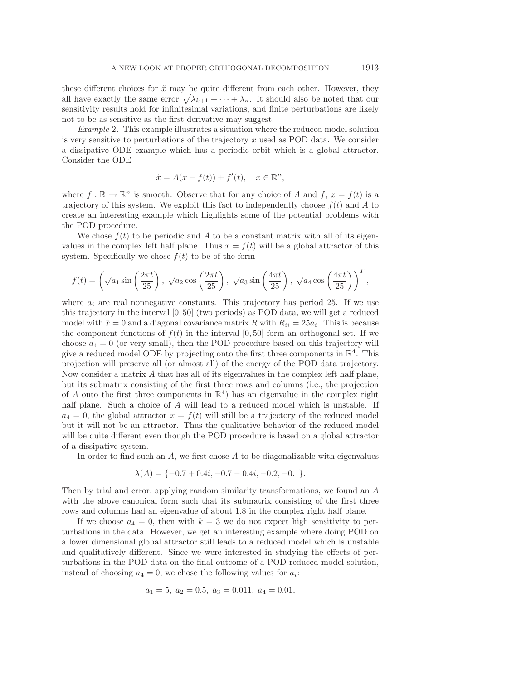these different choices for  $\tilde{x}$  may be quite different from each other. However, they all have exactly the same error  $\sqrt{\lambda_{k+1} + \cdots + \lambda_n}$ . It should also be noted that our sensitivity results hold for infinitesimal variations, and finite perturbations are likely not to be as sensitive as the first derivative may suggest.

Example 2. This example illustrates a situation where the reduced model solution is very sensitive to perturbations of the trajectory  $x$  used as POD data. We consider a dissipative ODE example which has a periodic orbit which is a global attractor. Consider the ODE

$$
\dot{x} = A(x - f(t)) + f'(t), \quad x \in \mathbb{R}^n,
$$

where  $f : \mathbb{R} \to \mathbb{R}^n$  is smooth. Observe that for any choice of A and  $f, x = f(t)$  is a trajectory of this system. We exploit this fact to independently choose  $f(t)$  and A to create an interesting example which highlights some of the potential problems with the POD procedure.

We chose  $f(t)$  to be periodic and A to be a constant matrix with all of its eigenvalues in the complex left half plane. Thus  $x = f(t)$  will be a global attractor of this system. Specifically we chose  $f(t)$  to be of the form

$$
f(t) = \left(\sqrt{a_1}\sin\left(\frac{2\pi t}{25}\right), \sqrt{a_2}\cos\left(\frac{2\pi t}{25}\right), \sqrt{a_3}\sin\left(\frac{4\pi t}{25}\right), \sqrt{a_4}\cos\left(\frac{4\pi t}{25}\right)\right)^T,
$$

where  $a_i$  are real nonnegative constants. This trajectory has period 25. If we use this trajectory in the interval [0, 50] (two periods) as POD data, we will get a reduced model with  $\bar{x} = 0$  and a diagonal covariance matrix R with  $R_{ii} = 25a_i$ . This is because the component functions of  $f(t)$  in the interval  $[0, 50]$  form an orthogonal set. If we choose  $a_4 = 0$  (or very small), then the POD procedure based on this trajectory will give a reduced model ODE by projecting onto the first three components in  $\mathbb{R}^4$ . This projection will preserve all (or almost all) of the energy of the POD data trajectory. Now consider a matrix A that has all of its eigenvalues in the complex left half plane, but its submatrix consisting of the first three rows and columns (i.e., the projection of A onto the first three components in  $\mathbb{R}^4$  has an eigenvalue in the complex right half plane. Such a choice of A will lead to a reduced model which is unstable. If  $a_4 = 0$ , the global attractor  $x = f(t)$  will still be a trajectory of the reduced model but it will not be an attractor. Thus the qualitative behavior of the reduced model will be quite different even though the POD procedure is based on a global attractor of a dissipative system.

In order to find such an A, we first chose A to be diagonalizable with eigenvalues

$$
\lambda(A) = \{-0.7 + 0.4i, -0.7 - 0.4i, -0.2, -0.1\}.
$$

Then by trial and error, applying random similarity transformations, we found an A with the above canonical form such that its submatrix consisting of the first three rows and columns had an eigenvalue of about 1.8 in the complex right half plane.

If we choose  $a_4 = 0$ , then with  $k = 3$  we do not expect high sensitivity to perturbations in the data. However, we get an interesting example where doing POD on a lower dimensional global attractor still leads to a reduced model which is unstable and qualitatively different. Since we were interested in studying the effects of perturbations in the POD data on the final outcome of a POD reduced model solution, instead of choosing  $a_4 = 0$ , we chose the following values for  $a_i$ .

$$
a_1 = 5, \ a_2 = 0.5, \ a_3 = 0.011, \ a_4 = 0.01,
$$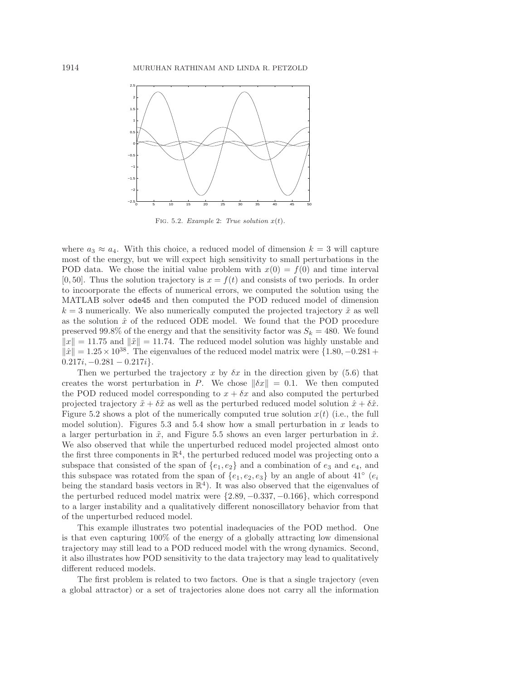

FIG. 5.2. Example 2: True solution  $x(t)$ .

where  $a_3 \approx a_4$ . With this choice, a reduced model of dimension  $k = 3$  will capture most of the energy, but we will expect high sensitivity to small perturbations in the POD data. We chose the initial value problem with  $x(0) = f(0)$  and time interval  $[0, 50]$ . Thus the solution trajectory is  $x = f(t)$  and consists of two periods. In order to incoorporate the effects of numerical errors, we computed the solution using the MATLAB solver ode45 and then computed the POD reduced model of dimension  $k = 3$  numerically. We also numerically computed the projected trajectory  $\tilde{x}$  as well as the solution  $\hat{x}$  of the reduced ODE model. We found that the POD procedure preserved 99.8% of the energy and that the sensitivity factor was  $S_k = 480$ . We found  $||x|| = 11.75$  and  $||\tilde{x}|| = 11.74$ . The reduced model solution was highly unstable and  $\|\hat{x}\| = 1.25 \times 10^{38}$ . The eigenvalues of the reduced model matrix were {1.80, −0.281 +  $0.217i, -0.281 - 0.217i$ .

Then we perturbed the trajectory x by  $\delta x$  in the direction given by (5.6) that creates the worst perturbation in P. We chose  $\|\delta x\| = 0.1$ . We then computed the POD reduced model corresponding to  $x + \delta x$  and also computed the perturbed projected trajectory  $\tilde{x} + \delta \tilde{x}$  as well as the perturbed reduced model solution  $\hat{x} + \delta \hat{x}$ . Figure 5.2 shows a plot of the numerically computed true solution  $x(t)$  (i.e., the full model solution). Figures 5.3 and 5.4 show how a small perturbation in  $x$  leads to a larger perturbation in  $\tilde{x}$ , and Figure 5.5 shows an even larger perturbation in  $\hat{x}$ . We also observed that while the unperturbed reduced model projected almost onto the first three components in  $\mathbb{R}^4$ , the perturbed reduced model was projecting onto a subspace that consisted of the span of  $\{e_1, e_2\}$  and a combination of  $e_3$  and  $e_4$ , and this subspace was rotated from the span of  $\{e_1, e_2, e_3\}$  by an angle of about 41°  $(e_i$ being the standard basis vectors in  $\mathbb{R}^4$ ). It was also observed that the eigenvalues of the perturbed reduced model matrix were {2.89, −0.337, −0.166}, which correspond to a larger instability and a qualitatively different nonoscillatory behavior from that of the unperturbed reduced model.

This example illustrates two potential inadequacies of the POD method. One is that even capturing 100% of the energy of a globally attracting low dimensional trajectory may still lead to a POD reduced model with the wrong dynamics. Second, it also illustrates how POD sensitivity to the data trajectory may lead to qualitatively different reduced models.

The first problem is related to two factors. One is that a single trajectory (even a global attractor) or a set of trajectories alone does not carry all the information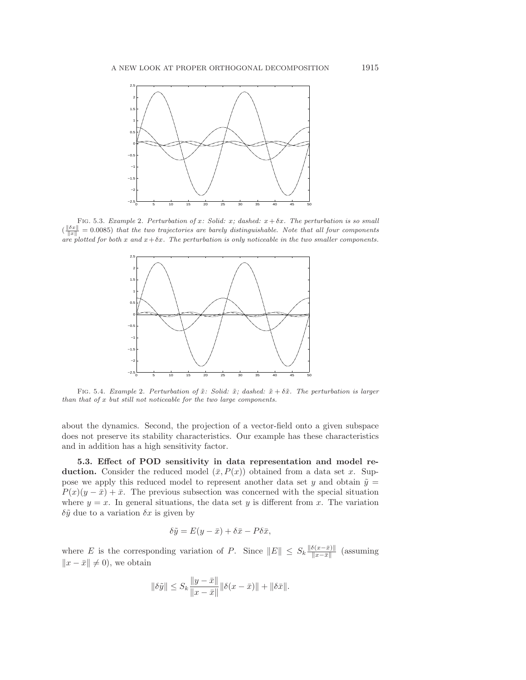

FIG. 5.3. Example 2. Perturbation of x: Solid: x; dashed:  $x + \delta x$ . The perturbation is so small  $\left(\frac{\|\delta x\|}{\|x\|}\right) = 0.0085$ ) that the two trajectories are barely distinguishable. Note that all four components are plotted for both x and  $x+\delta x$ . The perturbation is only noticeable in the two smaller components.



FIG. 5.4. Example 2. Perturbation of  $\tilde{x}$ : Solid:  $\tilde{x}$ ; dashed:  $\tilde{x} + \delta \tilde{x}$ . The perturbation is larger than that of x but still not noticeable for the two large components.

about the dynamics. Second, the projection of a vector-field onto a given subspace does not preserve its stability characteristics. Our example has these characteristics and in addition has a high sensitivity factor.

**5.3. Effect of POD sensitivity in data representation and model reduction.** Consider the reduced model  $(\bar{x}, P(x))$  obtained from a data set x. Suppose we apply this reduced model to represent another data set y and obtain  $\tilde{y} =$  $P(x)(y - \bar{x}) + \bar{x}$ . The previous subsection was concerned with the special situation where  $y = x$ . In general situations, the data set y is different from x. The variation  $\delta \tilde{y}$  due to a variation  $\delta x$  is given by

$$
\delta \tilde{y} = E(y - \bar{x}) + \delta \bar{x} - P \delta \bar{x},
$$

where E is the corresponding variation of P. Since  $||E|| \leq S_k \frac{||\delta(x-\bar{x})||}{||x-\bar{x}||}$  (assuming  $||x - \bar{x}|| \neq 0$ , we obtain

$$
\|\delta \tilde{y}\| \leq S_k \frac{\|y - \bar{x}\|}{\|x - \bar{x}\|} \|\delta(x - \bar{x})\| + \|\delta \bar{x}\|.
$$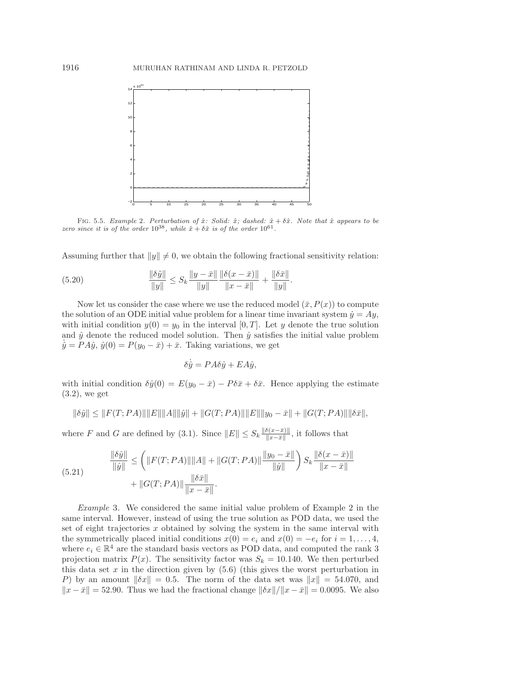

FIG. 5.5. Example 2. Perturbation of  $\hat{x}$ : Solid:  $\hat{x}$ ; dashed:  $\hat{x} + \delta \hat{x}$ . Note that  $\hat{x}$  appears to be zero since it is of the order  $10^{38}$ , while  $\hat{x} + \delta \hat{x}$  is of the order  $10^{61}$ .

Assuming further that  $||y|| \neq 0$ , we obtain the following fractional sensitivity relation:

(5.20) 
$$
\frac{\|\delta \tilde{y}\|}{\|y\|} \leq S_k \frac{\|y - \bar{x}\|}{\|y\|} \frac{\|\delta(x - \bar{x})\|}{\|x - \bar{x}\|} + \frac{\|\delta \bar{x}\|}{\|y\|}.
$$

Now let us consider the case where we use the reduced model  $(\bar{x}, P(x))$  to compute the solution of an ODE initial value problem for a linear time invariant system  $\dot{y} = Ay$ , with initial condition  $y(0) = y_0$  in the interval  $[0, T]$ . Let y denote the true solution and  $\hat{y}$  denote the reduced model solution. Then  $\hat{y}$  satisfies the initial value problem  $\hat{y} = PA\hat{y}, \hat{y}(0) = P(y_0 - \bar{x}) + \bar{x}$ . Taking variations, we get

$$
\dot{\delta y} = P A \delta \hat{y} + E A \hat{y},
$$

with initial condition  $\delta \hat{y}(0) = E(y_0 - \bar{x}) - P \delta \bar{x} + \delta \bar{x}$ . Hence applying the estimate (3.2), we get

$$
\|\delta \hat{y}\| \le \|F(T;PA)\| \|E\| \|A\| \|\hat{y}\| + \|G(T;PA)\| \|E\| \|y_0 - \bar{x}\| + \|G(T;PA)\| \|\delta \bar{x}\|,
$$

where F and G are defined by (3.1). Since  $||E|| \leq S_k \frac{||\delta(x-\bar{x})||}{||x-\bar{x}||}$ , it follows that

(5.21) 
$$
\frac{\|\delta \hat{y}\|}{\|\hat{y}\|} \le \left( \|F(T; PA)\| \|A\| + \|G(T; PA)\| \frac{\|y_0 - \bar{x}\|}{\|\hat{y}\|} \right) S_k \frac{\|\delta(x - \bar{x})\|}{\|x - \bar{x}\|} + \|G(T; PA)\| \frac{\|\delta \bar{x}\|}{\|x - \bar{x}\|}.
$$

Example 3. We considered the same initial value problem of Example 2 in the same interval. However, instead of using the true solution as POD data, we used the set of eight trajectories  $x$  obtained by solving the system in the same interval with the symmetrically placed initial conditions  $x(0) = e_i$  and  $x(0) = -e_i$  for  $i = 1, \ldots, 4$ , where  $e_i \in \mathbb{R}^4$  are the standard basis vectors as POD data, and computed the rank 3 projection matrix  $P(x)$ . The sensitivity factor was  $S_k = 10.140$ . We then perturbed this data set  $x$  in the direction given by  $(5.6)$  (this gives the worst perturbation in P) by an amount  $\|\delta x\| = 0.5$ . The norm of the data set was  $\|x\| = 54.070$ , and  $||x - \bar{x}|| = 52.90$ . Thus we had the fractional change  $||\delta x||/||x - \bar{x}|| = 0.0095$ . We also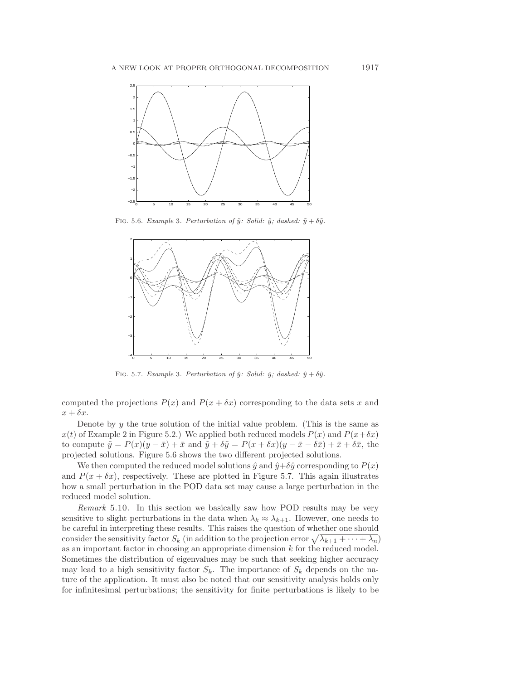

FIG. 5.6. Example 3. Perturbation of  $\tilde{y}$ : Solid:  $\tilde{y}$ ; dashed:  $\tilde{y} + \delta \tilde{y}$ .



FIG. 5.7. Example 3. Perturbation of  $\hat{y}$ : Solid:  $\hat{y}$ ; dashed:  $\hat{y} + \delta \hat{y}$ .

computed the projections  $P(x)$  and  $P(x + \delta x)$  corresponding to the data sets x and  $x + \delta x$ .

Denote by  $y$  the true solution of the initial value problem. (This is the same as  $x(t)$  of Example 2 in Figure 5.2.) We applied both reduced models  $P(x)$  and  $P(x+\delta x)$ to compute  $\tilde{y} = P(x)(y - \bar{x}) + \bar{x}$  and  $\tilde{y} + \delta \tilde{y} = P(x + \delta x)(y - \bar{x} - \delta \bar{x}) + \bar{x} + \delta \bar{x}$ , the projected solutions. Figure 5.6 shows the two different projected solutions.

We then computed the reduced model solutions  $\hat{y}$  and  $\hat{y}+\delta\hat{y}$  corresponding to  $P(x)$ and  $P(x + \delta x)$ , respectively. These are plotted in Figure 5.7. This again illustrates how a small perturbation in the POD data set may cause a large perturbation in the reduced model solution.

Remark 5.10. In this section we basically saw how POD results may be very sensitive to slight perturbations in the data when  $\lambda_k \approx \lambda_{k+1}$ . However, one needs to be careful in interpreting these results. This raises the question of whether one should consider the sensitivity factor  $S_k$  (in addition to the projection error  $\sqrt{\lambda_{k+1} + \cdots + \lambda_n}$ ) as an important factor in choosing an appropriate dimension  $k$  for the reduced model. Sometimes the distribution of eigenvalues may be such that seeking higher accuracy may lead to a high sensitivity factor  $S_k$ . The importance of  $S_k$  depends on the nature of the application. It must also be noted that our sensitivity analysis holds only for infinitesimal perturbations; the sensitivity for finite perturbations is likely to be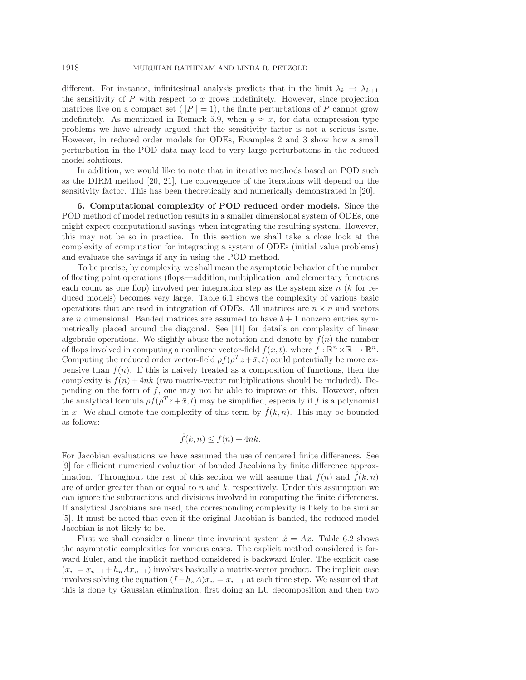different. For instance, infinitesimal analysis predicts that in the limit  $\lambda_k \to \lambda_{k+1}$ the sensitivity of  $P$  with respect to  $x$  grows indefinitely. However, since projection matrices live on a compact set ( $||P|| = 1$ ), the finite perturbations of P cannot grow indefinitely. As mentioned in Remark 5.9, when  $y \approx x$ , for data compression type problems we have already argued that the sensitivity factor is not a serious issue. However, in reduced order models for ODEs, Examples 2 and 3 show how a small perturbation in the POD data may lead to very large perturbations in the reduced model solutions.

In addition, we would like to note that in iterative methods based on POD such as the DIRM method [20, 21], the convergence of the iterations will depend on the sensitivity factor. This has been theoretically and numerically demonstrated in [20].

**6. Computational complexity of POD reduced order models.** Since the POD method of model reduction results in a smaller dimensional system of ODEs, one might expect computational savings when integrating the resulting system. However, this may not be so in practice. In this section we shall take a close look at the complexity of computation for integrating a system of ODEs (initial value problems) and evaluate the savings if any in using the POD method.

To be precise, by complexity we shall mean the asymptotic behavior of the number of floating point operations (flops—addition, multiplication, and elementary functions each count as one flop) involved per integration step as the system size  $n$  ( $k$  for reduced models) becomes very large. Table 6.1 shows the complexity of various basic operations that are used in integration of ODEs. All matrices are  $n \times n$  and vectors are n dimensional. Banded matrices are assumed to have  $b + 1$  nonzero entries symmetrically placed around the diagonal. See [11] for details on complexity of linear algebraic operations. We slightly abuse the notation and denote by  $f(n)$  the number of flops involved in computing a nonlinear vector-field  $f(x, t)$ , where  $f : \mathbb{R}^n \times \mathbb{R} \to \mathbb{R}^n$ . Computing the reduced order vector-field  $\rho f(\rho^T z + \bar{x}, t)$  could potentially be more expensive than  $f(n)$ . If this is naively treated as a composition of functions, then the complexity is  $f(n)+4nk$  (two matrix-vector multiplications should be included). Depending on the form of  $f$ , one may not be able to improve on this. However, often the analytical formula  $\rho f(\rho^T z + \bar{x}, t)$  may be simplified, especially if f is a polynomial in x. We shall denote the complexity of this term by  $\hat{f}(k, n)$ . This may be bounded as follows:

$$
\hat{f}(k,n) \le f(n) + 4nk.
$$

For Jacobian evaluations we have assumed the use of centered finite differences. See [9] for efficient numerical evaluation of banded Jacobians by finite difference approximation. Throughout the rest of this section we will assume that  $f(n)$  and  $f(k,n)$ are of order greater than or equal to n and k, respectively. Under this assumption we can ignore the subtractions and divisions involved in computing the finite differences. If analytical Jacobians are used, the corresponding complexity is likely to be similar [5]. It must be noted that even if the original Jacobian is banded, the reduced model Jacobian is not likely to be.

First we shall consider a linear time invariant system  $\dot{x} = Ax$ . Table 6.2 shows the asymptotic complexities for various cases. The explicit method considered is forward Euler, and the implicit method considered is backward Euler. The explicit case  $(x_n = x_{n-1} + h_n A x_{n-1})$  involves basically a matrix-vector product. The implicit case involves solving the equation  $(I - h_n A)x_n = x_{n-1}$  at each time step. We assumed that this is done by Gaussian elimination, first doing an LU decomposition and then two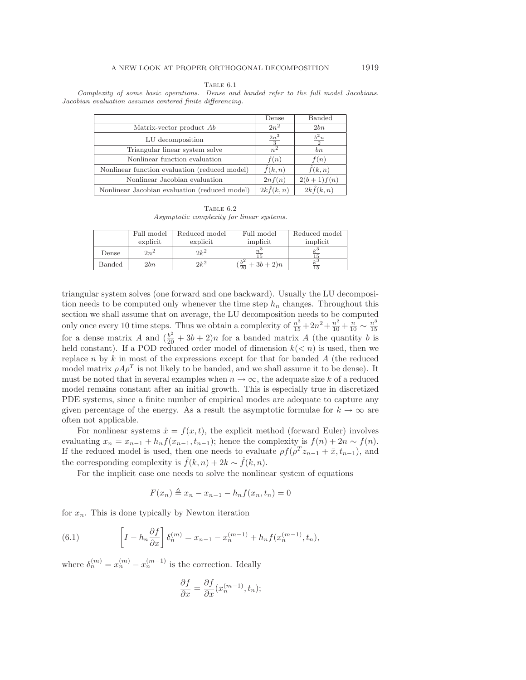|  | ۰. |
|--|----|
|--|----|

Complexity of some basic operations. Dense and banded refer to the full model Jacobians. Jacobian evaluation assumes centered finite differencing.

|                                               | Dense            | <b>Banded</b>    |
|-----------------------------------------------|------------------|------------------|
| Matrix-vector product Ab                      | $2n^2$           | 2bn              |
| LU decomposition                              | $\frac{2n^3}{3}$ | $b^2n$           |
| Triangular linear system solve                | $n^2$            | bn.              |
| Nonlinear function evaluation                 | f(n)             | f(n)             |
| Nonlinear function evaluation (reduced model) | f(k,n)           | $\hat{f}(k,n)$   |
| Nonlinear Jacobian evaluation                 | 2nf(n)           | $2(b+1)f(n)$     |
| Nonlinear Jacobian evaluation (reduced model) | $2k\hat{f}(k,n)$ | $2k\hat{f}(k,n)$ |

TABLE  $6.2$ Asymptotic complexity for linear systems.

|        | Full model | Reduced model | Full model                   | Reduced model |
|--------|------------|---------------|------------------------------|---------------|
|        | explicit   | explicit      | implicit                     | implicit      |
| Dense  | $2n^2$     | $2k^2$        |                              | $k^3$         |
| Banded | 2bn        | $2k^2$        | $+3b+2)n$<br>$\overline{20}$ | $k^3$         |

triangular system solves (one forward and one backward). Usually the LU decomposition needs to be computed only whenever the time step  $h_n$  changes. Throughout this section we shall assume that on average, the LU decomposition needs to be computed only once every 10 time steps. Thus we obtain a complexity of  $\frac{n^3}{15} + 2n^2 + \frac{n^2}{10} + \frac{n}{10} \sim \frac{n^3}{15}$  for a dense matrix A and  $(\frac{b^2}{20} + 3b + 2)n$  for a banded matrix A (the quantity b is held constant). If a POD reduced order model of dimension  $k(< n)$  is used, then we replace  $n$  by  $k$  in most of the expressions except for that for banded  $A$  (the reduced model matrix  $\rho A \rho^T$  is not likely to be banded, and we shall assume it to be dense). It must be noted that in several examples when  $n \to \infty$ , the adequate size k of a reduced model remains constant after an initial growth. This is especially true in discretized PDE systems, since a finite number of empirical modes are adequate to capture any given percentage of the energy. As a result the asymptotic formulae for  $k \to \infty$  are often not applicable.

For nonlinear systems  $\dot{x} = f(x, t)$ , the explicit method (forward Euler) involves evaluating  $x_n = x_{n-1} + h_n f(x_{n-1}, t_{n-1})$ ; hence the complexity is  $f(n) + 2n \sim f(n)$ . If the reduced model is used, then one needs to evaluate  $\rho f(\rho^T z_{n-1} + \bar{x}, t_{n-1})$ , and the corresponding complexity is  $\hat{f}(k,n)+2k \sim \hat{f}(k,n)$ .

For the implicit case one needs to solve the nonlinear system of equations

$$
F(x_n) \triangleq x_n - x_{n-1} - h_n f(x_n, t_n) = 0
$$

for  $x_n$ . This is done typically by Newton iteration

(6.1) 
$$
\left[I - h_n \frac{\partial f}{\partial x}\right] \delta_n^{(m)} = x_{n-1} - x_n^{(m-1)} + h_n f(x_n^{(m-1)}, t_n),
$$

where  $\delta_n^{(m)} = x_n^{(m)} - x_n^{(m-1)}$  is the correction. Ideally

$$
\frac{\partial f}{\partial x} = \frac{\partial f}{\partial x}(x_n^{(m-1)}, t_n);
$$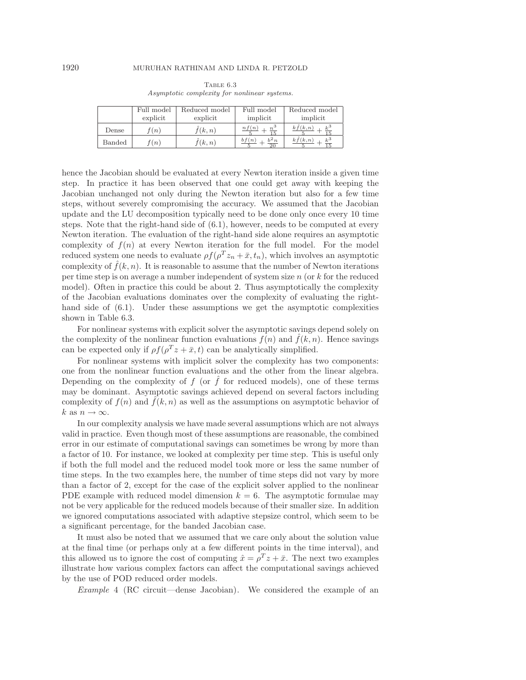|        | Full model<br>explicit | Reduced model<br>explicit | Full model<br>implicit             | Reduced model<br>implicit |
|--------|------------------------|---------------------------|------------------------------------|---------------------------|
| Dense  | (n)                    | k(n)                      | $n^3$<br>n f(n)<br>$\overline{15}$ | $k\hat{f}(k,n)$<br>$k^3$  |
| Banded | (n)                    | (k, n)                    | $b^2n$<br>b f(n)<br>20             | $k \hat{f}(k,n)$          |

Table 6.3 Asymptotic complexity for nonlinear systems.

hence the Jacobian should be evaluated at every Newton iteration inside a given time step. In practice it has been observed that one could get away with keeping the Jacobian unchanged not only during the Newton iteration but also for a few time steps, without severely compromising the accuracy. We assumed that the Jacobian update and the LU decomposition typically need to be done only once every 10 time steps. Note that the right-hand side of (6.1), however, needs to be computed at every Newton iteration. The evaluation of the right-hand side alone requires an asymptotic complexity of  $f(n)$  at every Newton iteration for the full model. For the model reduced system one needs to evaluate  $\rho f(\rho^T z_n + \bar{x}, t_n)$ , which involves an asymptotic complexity of  $\hat{f}(k, n)$ . It is reasonable to assume that the number of Newton iterations per time step is on average a number independent of system size  $n$  (or  $k$  for the reduced model). Often in practice this could be about 2. Thus asymptotically the complexity of the Jacobian evaluations dominates over the complexity of evaluating the righthand side of  $(6.1)$ . Under these assumptions we get the asymptotic complexities shown in Table 6.3.

For nonlinear systems with explicit solver the asymptotic savings depend solely on the complexity of the nonlinear function evaluations  $f(n)$  and  $\hat{f}(k,n)$ . Hence savings can be expected only if  $\rho f(\rho^T z + \bar{x}, t)$  can be analytically simplified.

For nonlinear systems with implicit solver the complexity has two components: one from the nonlinear function evaluations and the other from the linear algebra. Depending on the complexity of f (or  $\hat{f}$  for reduced models), one of these terms may be dominant. Asymptotic savings achieved depend on several factors including complexity of  $f(n)$  and  $f(k, n)$  as well as the assumptions on asymptotic behavior of k as  $n \to \infty$ .

In our complexity analysis we have made several assumptions which are not always valid in practice. Even though most of these assumptions are reasonable, the combined error in our estimate of computational savings can sometimes be wrong by more than a factor of 10. For instance, we looked at complexity per time step. This is useful only if both the full model and the reduced model took more or less the same number of time steps. In the two examples here, the number of time steps did not vary by more than a factor of 2, except for the case of the explicit solver applied to the nonlinear PDE example with reduced model dimension  $k = 6$ . The asymptotic formulae may not be very applicable for the reduced models because of their smaller size. In addition we ignored computations associated with adaptive stepsize control, which seem to be a significant percentage, for the banded Jacobian case.

It must also be noted that we assumed that we care only about the solution value at the final time (or perhaps only at a few different points in the time interval), and this allowed us to ignore the cost of computing  $\hat{x} = \rho^T z + \bar{x}$ . The next two examples illustrate how various complex factors can affect the computational savings achieved by the use of POD reduced order models.

Example 4 (RC circuit—dense Jacobian). We considered the example of an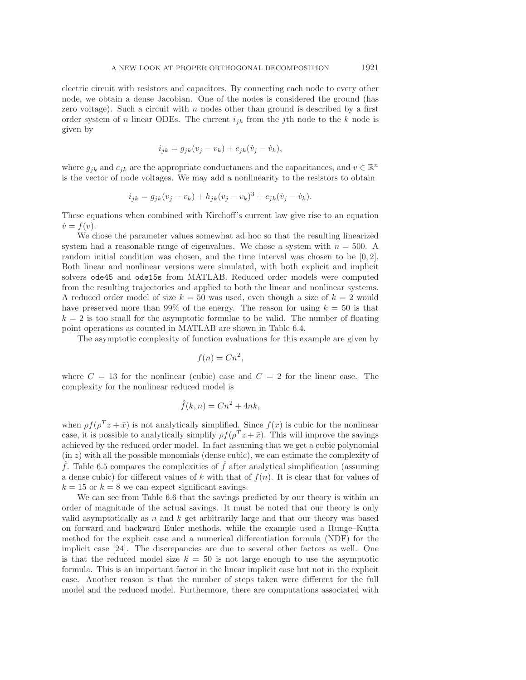electric circuit with resistors and capacitors. By connecting each node to every other node, we obtain a dense Jacobian. One of the nodes is considered the ground (has zero voltage). Such a circuit with  $n$  nodes other than ground is described by a first order system of n linear ODEs. The current  $i_{jk}$  from the jth node to the k node is given by

$$
i_{jk} = g_{jk}(v_j - v_k) + c_{jk}(\dot{v}_j - \dot{v}_k),
$$

where  $g_{jk}$  and  $c_{jk}$  are the appropriate conductances and the capacitances, and  $v \in \mathbb{R}^n$ is the vector of node voltages. We may add a nonlinearity to the resistors to obtain

$$
i_{jk} = g_{jk}(v_j - v_k) + h_{jk}(v_j - v_k)^3 + c_{jk}(v_j - v_k).
$$

These equations when combined with Kirchoff's current law give rise to an equation  $\dot{v} = f(v).$ 

We chose the parameter values somewhat ad hoc so that the resulting linearized system had a reasonable range of eigenvalues. We chose a system with  $n = 500$ . A random initial condition was chosen, and the time interval was chosen to be [0, 2]. Both linear and nonlinear versions were simulated, with both explicit and implicit solvers ode45 and ode15s from MATLAB. Reduced order models were computed from the resulting trajectories and applied to both the linear and nonlinear systems. A reduced order model of size  $k = 50$  was used, even though a size of  $k = 2$  would have preserved more than 99% of the energy. The reason for using  $k = 50$  is that  $k = 2$  is too small for the asymptotic formulae to be valid. The number of floating point operations as counted in MATLAB are shown in Table 6.4.

The asymptotic complexity of function evaluations for this example are given by

$$
f(n) = Cn^2,
$$

where  $C = 13$  for the nonlinear (cubic) case and  $C = 2$  for the linear case. The complexity for the nonlinear reduced model is

$$
\hat{f}(k,n) = Cn^2 + 4nk,
$$

when  $\rho f(\rho^T z + \bar{x})$  is not analytically simplified. Since  $f(x)$  is cubic for the nonlinear case, it is possible to analytically simplify  $\rho f(\rho^T z + \bar{x})$ . This will improve the savings achieved by the reduced order model. In fact assuming that we get a cubic polynomial  $(in z)$  with all the possible monomials (dense cubic), we can estimate the complexity of  $\hat{f}$ . Table 6.5 compares the complexities of  $\hat{f}$  after analytical simplification (assuming a dense cubic) for different values of k with that of  $f(n)$ . It is clear that for values of  $k = 15$  or  $k = 8$  we can expect significant savings.

We can see from Table 6.6 that the savings predicted by our theory is within an order of magnitude of the actual savings. It must be noted that our theory is only valid asymptotically as  $n$  and  $k$  get arbitrarily large and that our theory was based on forward and backward Euler methods, while the example used a Runge–Kutta method for the explicit case and a numerical differentiation formula (NDF) for the implicit case [24]. The discrepancies are due to several other factors as well. One is that the reduced model size  $k = 50$  is not large enough to use the asymptotic formula. This is an important factor in the linear implicit case but not in the explicit case. Another reason is that the number of steps taken were different for the full model and the reduced model. Furthermore, there are computations associated with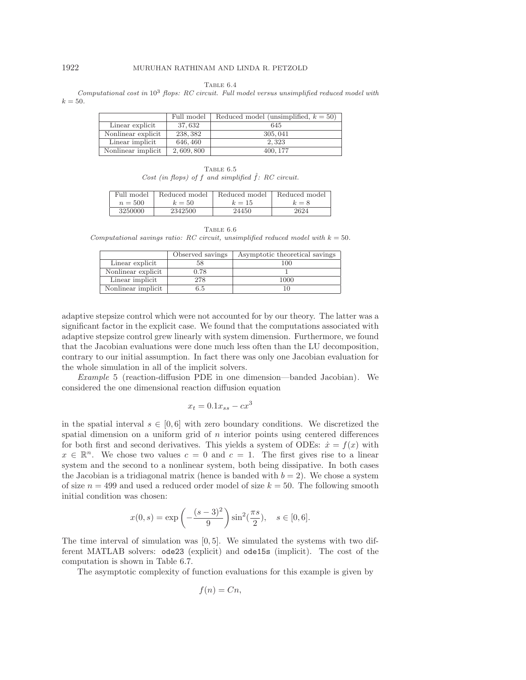Table 6.4

Computational cost in  $10^3$  flops: RC circuit. Full model versus unsimplified reduced model with  $k = 50.$ 

|                    | Full model | Reduced model (unsimplified, $k = 50$ ) |
|--------------------|------------|-----------------------------------------|
| Linear explicit    | 37,632     | 645                                     |
| Nonlinear explicit | 238, 382   | 305,041                                 |
| Linear implicit    | 646, 460   | 2.323                                   |
| Nonlinear implicit | 2,609,800  | 400, 177                                |

TABLE  $6.5$ Cost (in flops) of f and simplified  $\hat{f}$ : RC circuit.

| Full model | Reduced model | Reduced model | Reduced model |
|------------|---------------|---------------|---------------|
| $n=500$    | $k=50$        | $k = 15$      | $k=8$         |
| 3250000    | 2342500       | 24450         | 2624          |

TABLE 6.6

Computational savings ratio: RC circuit, unsimplified reduced model with  $k = 50$ .

|                    | Observed savings | Asymptotic theoretical savings |
|--------------------|------------------|--------------------------------|
| Linear explicit    | 58               | 100                            |
| Nonlinear explicit | 0.78             |                                |
| Linear implicit    | 278              | 1000                           |
| Nonlinear implicit | 6.5              |                                |

adaptive stepsize control which were not accounted for by our theory. The latter was a significant factor in the explicit case. We found that the computations associated with adaptive stepsize control grew linearly with system dimension. Furthermore, we found that the Jacobian evaluations were done much less often than the LU decomposition, contrary to our initial assumption. In fact there was only one Jacobian evaluation for the whole simulation in all of the implicit solvers.

Example 5 (reaction-diffusion PDE in one dimension—banded Jacobian). We considered the one dimensional reaction diffusion equation

$$
x_t = 0.1x_{ss} - cx^3
$$

in the spatial interval  $s \in [0,6]$  with zero boundary conditions. We discretized the spatial dimension on a uniform grid of  $n$  interior points using centered differences for both first and second derivatives. This yields a system of ODEs:  $\dot{x} = f(x)$  with  $x \in \mathbb{R}^n$ . We chose two values  $c = 0$  and  $c = 1$ . The first gives rise to a linear system and the second to a nonlinear system, both being dissipative. In both cases the Jacobian is a tridiagonal matrix (hence is banded with  $b = 2$ ). We chose a system of size  $n = 499$  and used a reduced order model of size  $k = 50$ . The following smooth initial condition was chosen:

$$
x(0, s) = \exp\left(-\frac{(s-3)^2}{9}\right)\sin^2(\frac{\pi s}{2}), \quad s \in [0, 6].
$$

The time interval of simulation was  $[0, 5]$ . We simulated the systems with two different MATLAB solvers: ode23 (explicit) and ode15s (implicit). The cost of the computation is shown in Table 6.7.

The asymptotic complexity of function evaluations for this example is given by

$$
f(n) = Cn,
$$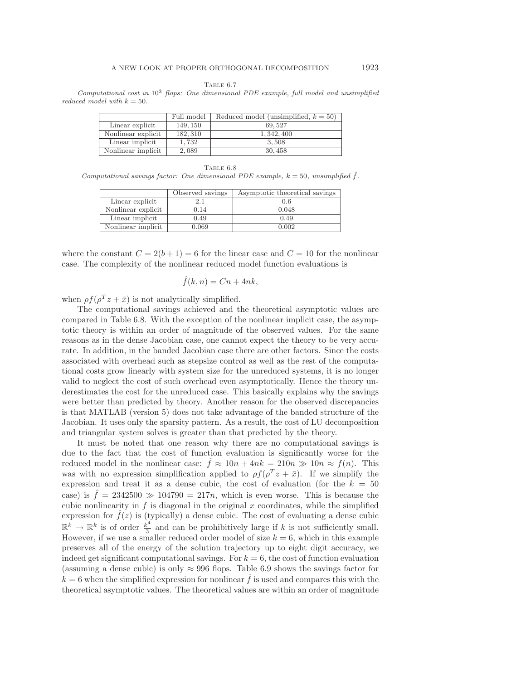Table 6.7

Computational cost in  $10^3$  flops: One dimensional PDE example, full model and unsimplified reduced model with  $k = 50$ .

|                    | Full model | Reduced model (unsimplified, $k = 50$ ) |
|--------------------|------------|-----------------------------------------|
| Linear explicit    | 149, 150   | 69.527                                  |
| Nonlinear explicit | 182, 310   | 1, 342, 400                             |
| Linear implicit    | 1,732      | 3.508                                   |
| Nonlinear implicit | 2,089      | 30.458                                  |

TABLE 6.8

Computational savings factor: One dimensional PDE example,  $k = 50$ , unsimplified  $\hat{f}$ .

|                    | Observed savings | Asymptotic theoretical savings |
|--------------------|------------------|--------------------------------|
| Linear explicit    |                  | 0.6                            |
| Nonlinear explicit | 0.14             | 0.048                          |
| Linear implicit    | 0.49             | 0.49                           |
| Nonlinear implicit | 0.069            | 0.002                          |

where the constant  $C = 2(b+1) = 6$  for the linear case and  $C = 10$  for the nonlinear case. The complexity of the nonlinear reduced model function evaluations is

$$
\hat{f}(k,n) = Cn + 4nk,
$$

when  $\rho f(\rho^T z + \bar{x})$  is not analytically simplified.

The computational savings achieved and the theoretical asymptotic values are compared in Table 6.8. With the exception of the nonlinear implicit case, the asymptotic theory is within an order of magnitude of the observed values. For the same reasons as in the dense Jacobian case, one cannot expect the theory to be very accurate. In addition, in the banded Jacobian case there are other factors. Since the costs associated with overhead such as stepsize control as well as the rest of the computational costs grow linearly with system size for the unreduced systems, it is no longer valid to neglect the cost of such overhead even asymptotically. Hence the theory underestimates the cost for the unreduced case. This basically explains why the savings were better than predicted by theory. Another reason for the observed discrepancies is that MATLAB (version 5) does not take advantage of the banded structure of the Jacobian. It uses only the sparsity pattern. As a result, the cost of LU decomposition and triangular system solves is greater than that predicted by the theory.

It must be noted that one reason why there are no computational savings is due to the fact that the cost of function evaluation is significantly worse for the reduced model in the nonlinear case:  $\hat{f} \approx 10n + 4nk = 210n \gg 10n \approx f(n)$ . This was with no expression simplification applied to  $\rho f(\rho^T z + \bar{x})$ . If we simplify the expression and treat it as a dense cubic, the cost of evaluation (for the  $k = 50$ case) is  $\hat{f} = 2342500 \gg 104790 = 217n$ , which is even worse. This is because the cubic nonlinearity in  $f$  is diagonal in the original  $x$  coordinates, while the simplified expression for  $f(z)$  is (typically) a dense cubic. The cost of evaluating a dense cubic  $\mathbb{R}^k \to \mathbb{R}^k$  is of order  $\frac{k^4}{3}$  and can be prohibitively large if k is not sufficiently small. However, if we use a smaller reduced order model of size  $k = 6$ , which in this example preserves all of the energy of the solution trajectory up to eight digit accuracy, we indeed get significant computational savings. For  $k = 6$ , the cost of function evaluation (assuming a dense cubic) is only  $\approx 996$  flops. Table 6.9 shows the savings factor for  $k = 6$  when the simplified expression for nonlinear  $\hat{f}$  is used and compares this with the theoretical asymptotic values. The theoretical values are within an order of magnitude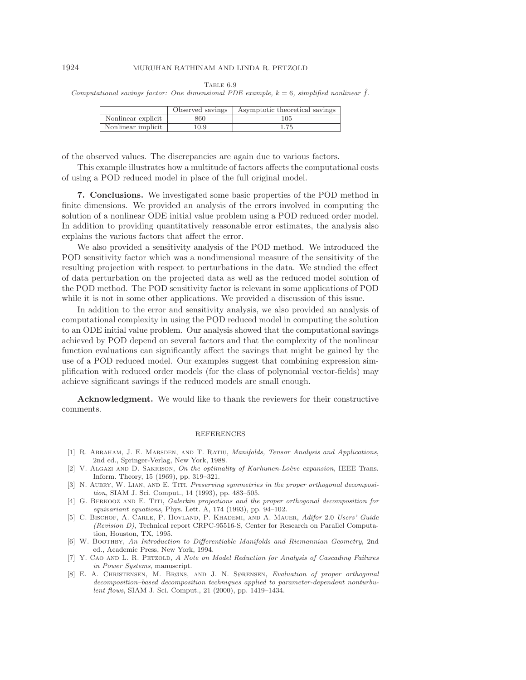Table 6.9

Computational savings factor: One dimensional PDE example,  $k = 6$ , simplified nonlinear  $\hat{f}$ .

|                    | Observed savings | Asymptotic theoretical savings |
|--------------------|------------------|--------------------------------|
| Nonlinear explicit | 860              | 105                            |
| Nonlinear implicit | $10.9\,$         |                                |

of the observed values. The discrepancies are again due to various factors.

This example illustrates how a multitude of factors affects the computational costs of using a POD reduced model in place of the full original model.

**7. Conclusions.** We investigated some basic properties of the POD method in finite dimensions. We provided an analysis of the errors involved in computing the solution of a nonlinear ODE initial value problem using a POD reduced order model. In addition to providing quantitatively reasonable error estimates, the analysis also explains the various factors that affect the error.

We also provided a sensitivity analysis of the POD method. We introduced the POD sensitivity factor which was a nondimensional measure of the sensitivity of the resulting projection with respect to perturbations in the data. We studied the effect of data perturbation on the projected data as well as the reduced model solution of the POD method. The POD sensitivity factor is relevant in some applications of POD while it is not in some other applications. We provided a discussion of this issue.

In addition to the error and sensitivity analysis, we also provided an analysis of computational complexity in using the POD reduced model in computing the solution to an ODE initial value problem. Our analysis showed that the computational savings achieved by POD depend on several factors and that the complexity of the nonlinear function evaluations can significantly affect the savings that might be gained by the use of a POD reduced model. Our examples suggest that combining expression simplification with reduced order models (for the class of polynomial vector-fields) may achieve significant savings if the reduced models are small enough.

**Acknowledgment.** We would like to thank the reviewers for their constructive comments.

#### REFERENCES

- [1] R. Abraham, J. E. Marsden, and T. Ratiu, Manifolds, Tensor Analysis and Applications, 2nd ed., Springer-Verlag, New York, 1988.
- [2] V. ALGAZI AND D. SAKRISON, On the optimality of Karhunen-Loève expansion, IEEE Trans. Inform. Theory, 15 (1969), pp. 319–321.
- [3] N. AUBRY, W. LIAN, AND E. TITI, Preserving symmetries in the proper orthogonal decomposition, SIAM J. Sci. Comput., 14 (1993), pp. 483–505.
- [4] G. Berkooz and E. Titi, Galerkin projections and the proper orthogonal decomposition for equivariant equations, Phys. Lett. A, 174 (1993), pp. 94–102.
- [5] C. Bischof, A. Carle, P. Hovland, P. Khademi, and A. Mauer, Adifor 2.0 Users' Guide (Revision D), Technical report CRPC-95516-S, Center for Research on Parallel Computation, Houston, TX, 1995.
- [6] W. BOOTHBY, An Introduction to Differentiable Manifolds and Riemannian Geometry, 2nd ed., Academic Press, New York, 1994.
- [7] Y. Cao and L. R. Petzold, A Note on Model Reduction for Analysis of Cascading Failures in Power Systems, manuscript.
- [8] E. A. CHRISTENSEN, M. BRØNS, AND J. N. SØRENSEN, Evaluation of proper orthogonal decomposition–based decomposition techniques applied to parameter-dependent nonturbulent flows, SIAM J. Sci. Comput., 21 (2000), pp. 1419–1434.